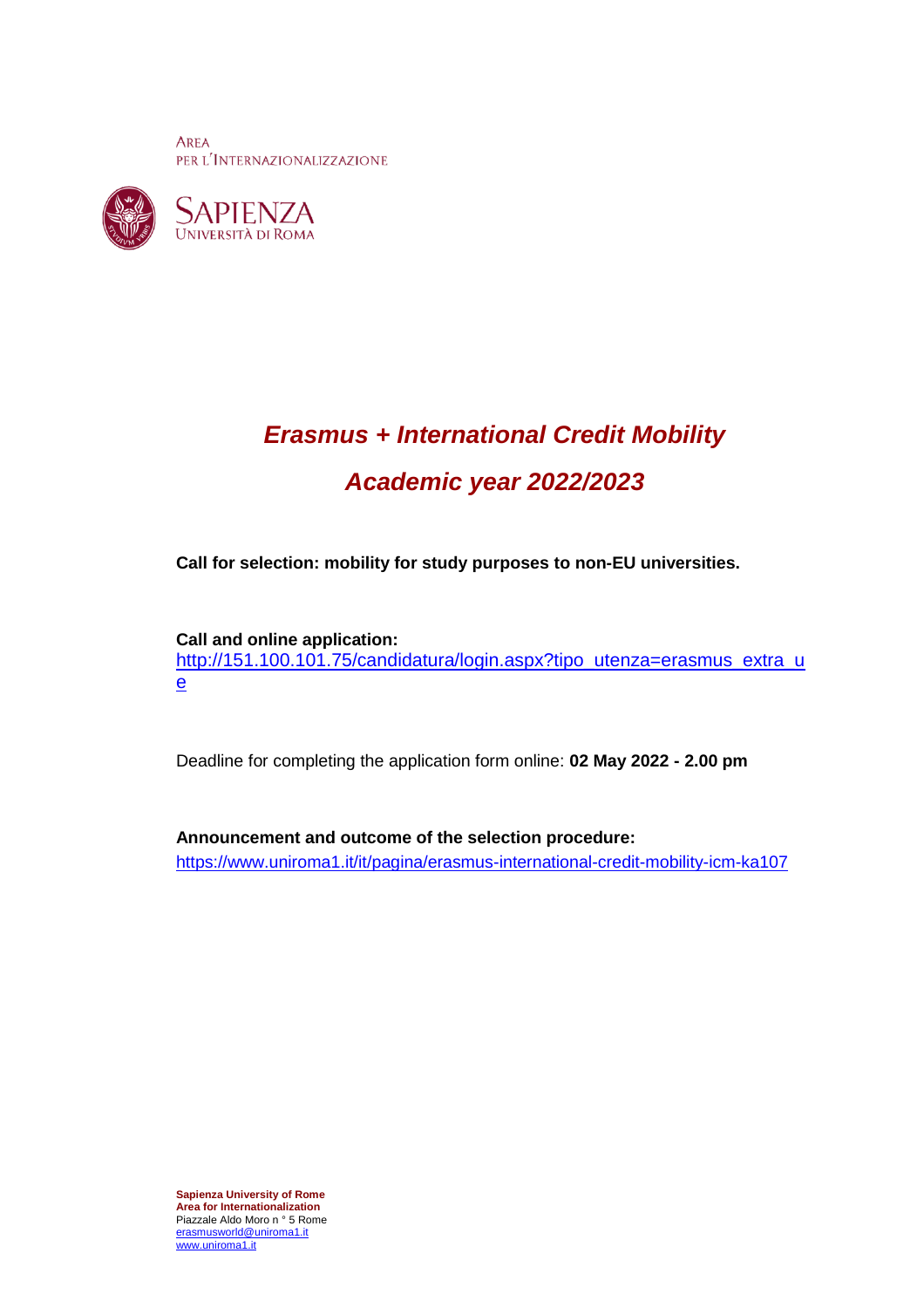**AREA** PER L'INTERNAZIONALIZZAZIONE





# *Erasmus + International Credit Mobility Academic year 2022/2023*

**Call for selection: mobility for study purposes to non-EU universities.**

**Call and online application:**  [http://151.100.101.75/candidatura/login.aspx?tipo\\_utenza=erasmus\\_extra\\_u](http://151.100.101.75/candidatura/login.aspx?tipo_utenza=erasmus_extra_ue) [e](http://151.100.101.75/candidatura/login.aspx?tipo_utenza=erasmus_extra_ue)

Deadline for completing the application form online: **02 May 2022 - 2.00 pm**

**Announcement and outcome of the selection procedure:** <https://www.uniroma1.it/it/pagina/erasmus-international-credit-mobility-icm-ka107>

**Sapienza University of Rome Area for Internationalization** Piazzale Aldo Moro n ° 5 Rome [erasmusworld@uniroma1.it](mailto:erasmusworld@uniroma1.it) [www.uniroma1.it](http://www.uniroma1.it/)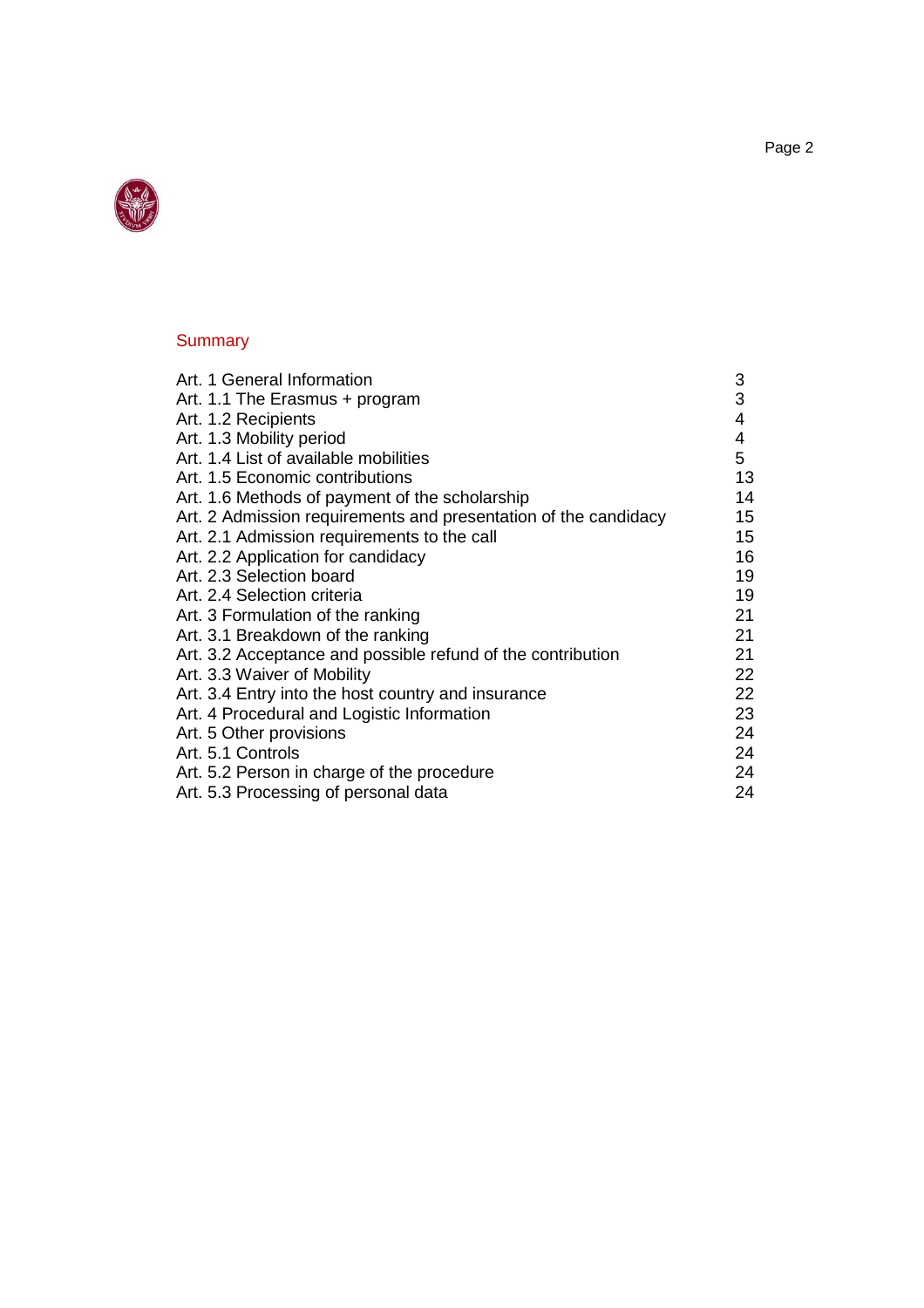

# **Summary**

| Art. 1 General Information                                      | 3  |
|-----------------------------------------------------------------|----|
| Art. 1.1 The Erasmus + program                                  | 3  |
| Art. 1.2 Recipients                                             | 4  |
| Art. 1.3 Mobility period                                        | 4  |
| Art. 1.4 List of available mobilities                           | 5  |
| Art. 1.5 Economic contributions                                 | 13 |
| Art. 1.6 Methods of payment of the scholarship                  | 14 |
| Art. 2 Admission requirements and presentation of the candidacy | 15 |
| Art. 2.1 Admission requirements to the call                     | 15 |
| Art. 2.2 Application for candidacy                              | 16 |
| Art. 2.3 Selection board                                        | 19 |
| Art. 2.4 Selection criteria                                     | 19 |
| Art. 3 Formulation of the ranking                               | 21 |
| Art. 3.1 Breakdown of the ranking                               | 21 |
| Art. 3.2 Acceptance and possible refund of the contribution     | 21 |
| Art. 3.3 Waiver of Mobility                                     | 22 |
| Art. 3.4 Entry into the host country and insurance              | 22 |
| Art. 4 Procedural and Logistic Information                      | 23 |
| Art. 5 Other provisions                                         | 24 |
| Art. 5.1 Controls                                               | 24 |
| Art. 5.2 Person in charge of the procedure                      | 24 |
| Art. 5.3 Processing of personal data                            | 24 |
|                                                                 |    |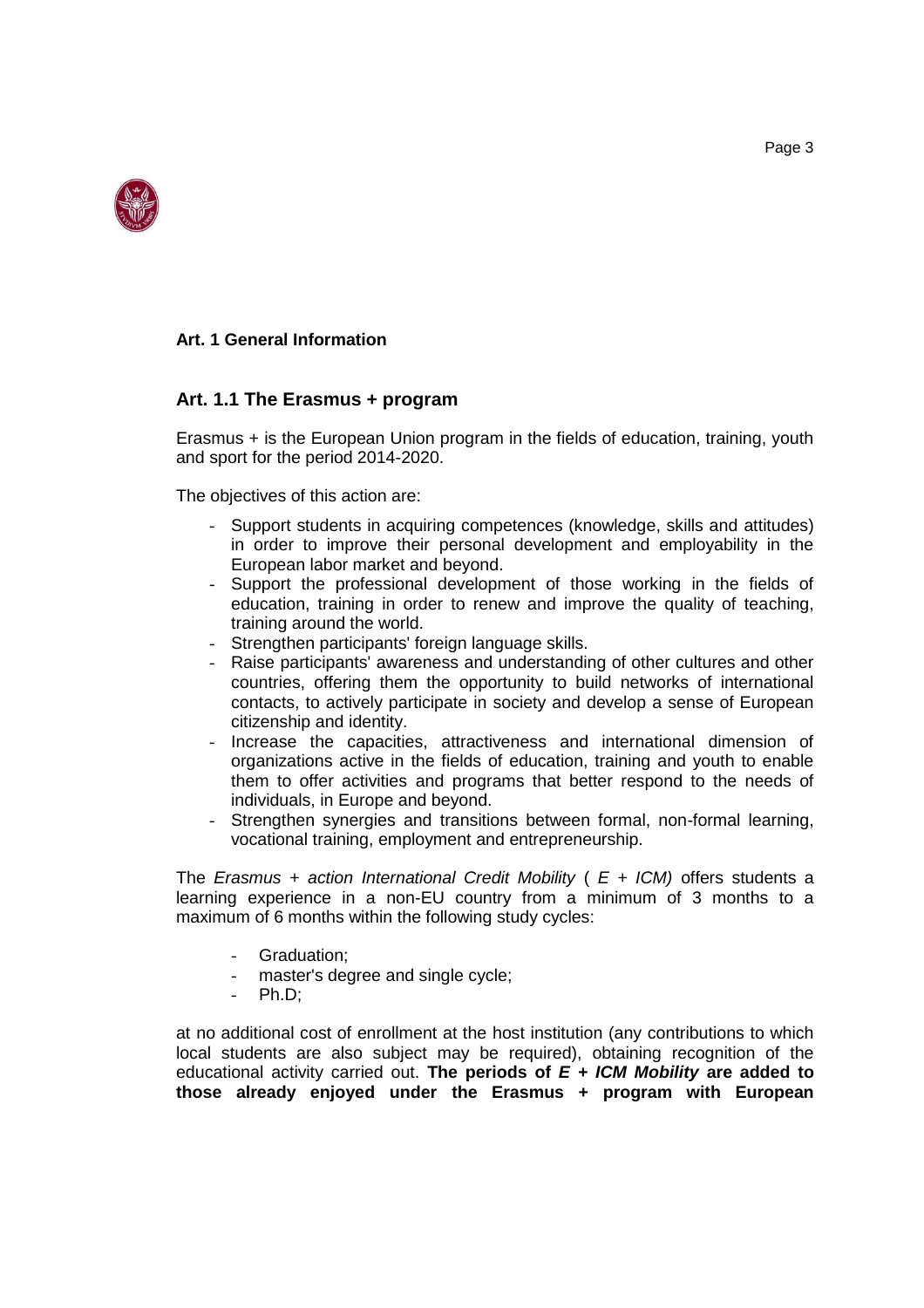

#### **Art. 1 General Information**

# **Art. 1.1 The Erasmus + program**

Erasmus + is the European Union program in the fields of education, training, youth and sport for the period 2014-2020.

The objectives of this action are:

- Support students in acquiring competences (knowledge, skills and attitudes) in order to improve their personal development and employability in the European labor market and beyond.
- Support the professional development of those working in the fields of education, training in order to renew and improve the quality of teaching, training around the world.
- Strengthen participants' foreign language skills.
- Raise participants' awareness and understanding of other cultures and other countries, offering them the opportunity to build networks of international contacts, to actively participate in society and develop a sense of European citizenship and identity.
- Increase the capacities, attractiveness and international dimension of organizations active in the fields of education, training and youth to enable them to offer activities and programs that better respond to the needs of individuals, in Europe and beyond.
- Strengthen synergies and transitions between formal, non-formal learning, vocational training, employment and entrepreneurship.

The *Erasmus + action International Credit Mobility* ( *E + ICM)* offers students a learning experience in a non-EU country from a minimum of 3 months to a maximum of 6 months within the following study cycles:

- Graduation:
- master's degree and single cycle;
- Ph.D:

at no additional cost of enrollment at the host institution (any contributions to which local students are also subject may be required), obtaining recognition of the educational activity carried out. **The periods of** *E + ICM Mobility* **are added to those already enjoyed under the Erasmus + program with European**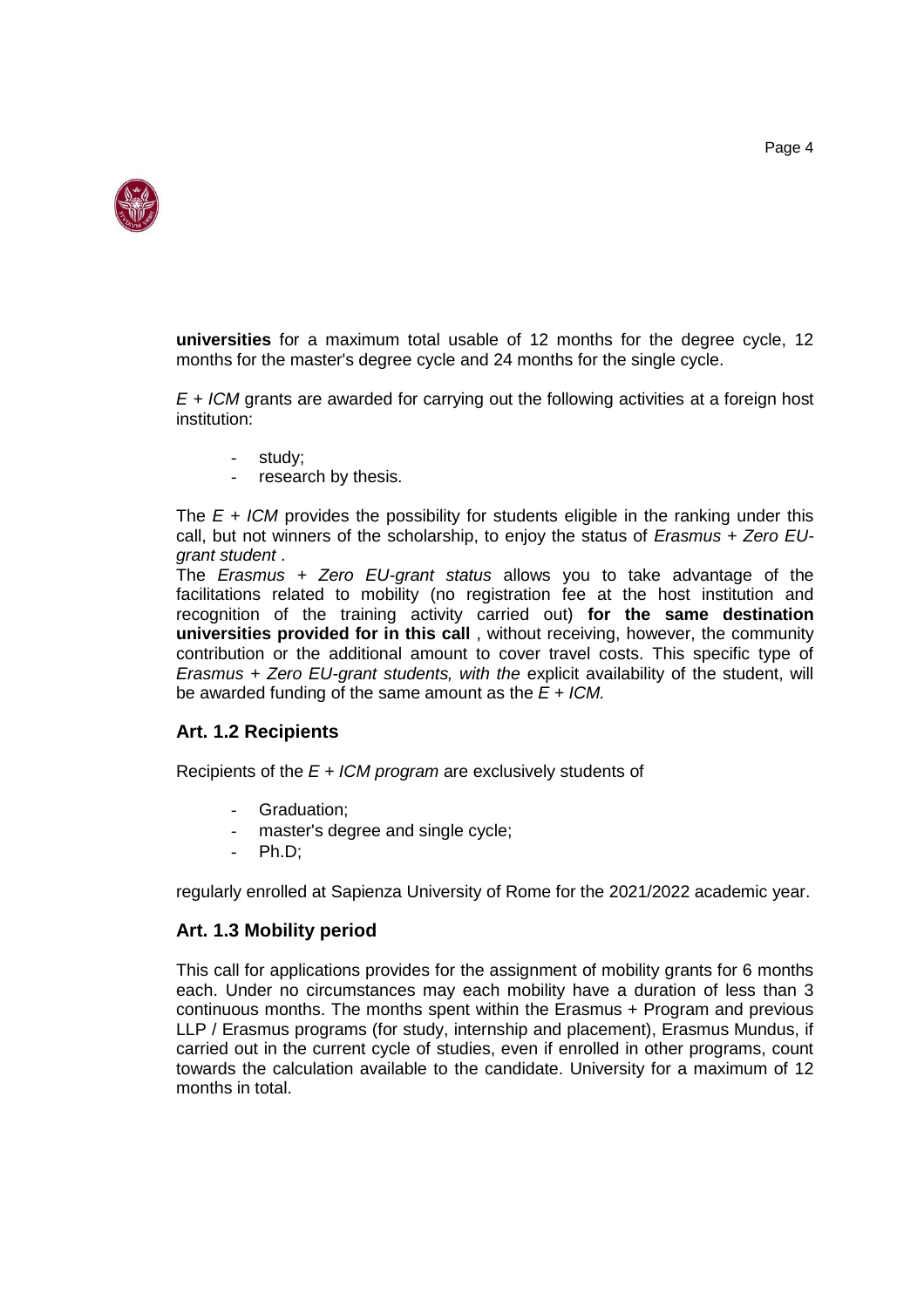

**universities** for a maximum total usable of 12 months for the degree cycle, 12 months for the master's degree cycle and 24 months for the single cycle.

*E + ICM* grants are awarded for carrying out the following activities at a foreign host institution:

- study;
- research by thesis.

The *E + ICM* provides the possibility for students eligible in the ranking under this call, but not winners of the scholarship, to enjoy the status of *Erasmus + Zero EUgrant student* .

The *Erasmus + Zero EU-grant status* allows you to take advantage of the facilitations related to mobility (no registration fee at the host institution and recognition of the training activity carried out) **for the same destination universities provided for in this call** , without receiving, however, the community contribution or the additional amount to cover travel costs. This specific type of *Erasmus + Zero EU-grant students, with the* explicit availability of the student, will be awarded funding of the same amount as the *E + ICM.*

#### **Art. 1.2 Recipients**

Recipients of the *E + ICM program* are exclusively students of

- Graduation:
- master's degree and single cycle;
- $Ph.D;$

regularly enrolled at Sapienza University of Rome for the 2021/2022 academic year.

#### **Art. 1.3 Mobility period**

This call for applications provides for the assignment of mobility grants for 6 months each. Under no circumstances may each mobility have a duration of less than 3 continuous months. The months spent within the Erasmus + Program and previous LLP / Erasmus programs (for study, internship and placement), Erasmus Mundus, if carried out in the current cycle of studies, even if enrolled in other programs, count towards the calculation available to the candidate. University for a maximum of 12 months in total.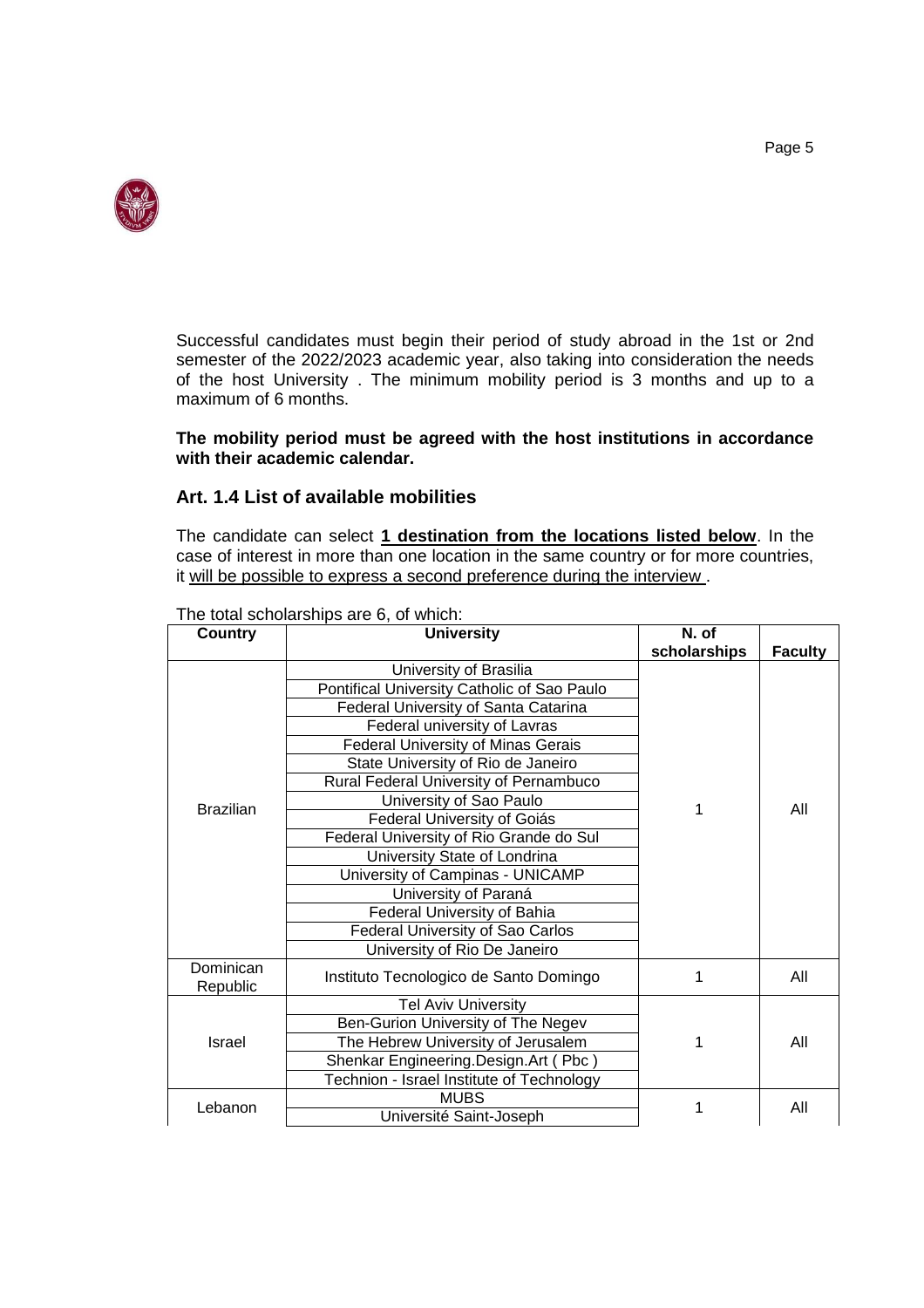

Successful candidates must begin their period of study abroad in the 1st or 2nd semester of the 2022/2023 academic year, also taking into consideration the needs of the host University . The minimum mobility period is 3 months and up to a maximum of 6 months.

#### **The mobility period must be agreed with the host institutions in accordance with their academic calendar.**

#### **Art. 1.4 List of available mobilities**

The candidate can select **1 destination from the locations listed below**. In the case of interest in more than one location in the same country or for more countries, it will be possible to express a second preference during the interview .

| <b>Country</b>                          | <b>University</b>                           | N. of        |                |
|-----------------------------------------|---------------------------------------------|--------------|----------------|
|                                         |                                             | scholarships | <b>Faculty</b> |
|                                         | University of Brasilia                      |              |                |
|                                         | Pontifical University Catholic of Sao Paulo |              |                |
|                                         | <b>Federal University of Santa Catarina</b> |              |                |
|                                         | Federal university of Lavras                |              |                |
|                                         | <b>Federal University of Minas Gerais</b>   |              |                |
| State University of Rio de Janeiro      |                                             |              |                |
|                                         | Rural Federal University of Pernambuco      |              |                |
| <b>Brazilian</b>                        | University of Sao Paulo                     | 1            | All            |
|                                         | Federal University of Goiás                 |              |                |
|                                         | Federal University of Rio Grande do Sul     |              |                |
|                                         | University State of Londrina                |              |                |
| University of Campinas - UNICAMP        |                                             |              |                |
|                                         | University of Paraná                        |              |                |
|                                         | Federal University of Bahia                 |              |                |
| <b>Federal University of Sao Carlos</b> |                                             |              |                |
|                                         | University of Rio De Janeiro                |              |                |
| Dominican<br>Republic                   | Instituto Tecnologico de Santo Domingo      | 1            | All            |
|                                         | <b>Tel Aviv University</b>                  |              |                |
|                                         | Ben-Gurion University of The Negev          |              |                |
| Israel                                  | The Hebrew University of Jerusalem          | 1            | All            |
|                                         | Shenkar Engineering.Design.Art (Pbc)        |              |                |
|                                         | Technion - Israel Institute of Technology   |              |                |
|                                         | <b>MUBS</b>                                 | 1            | All            |
| Lebanon<br>Université Saint-Joseph      |                                             |              |                |

The total scholarships are 6, of which: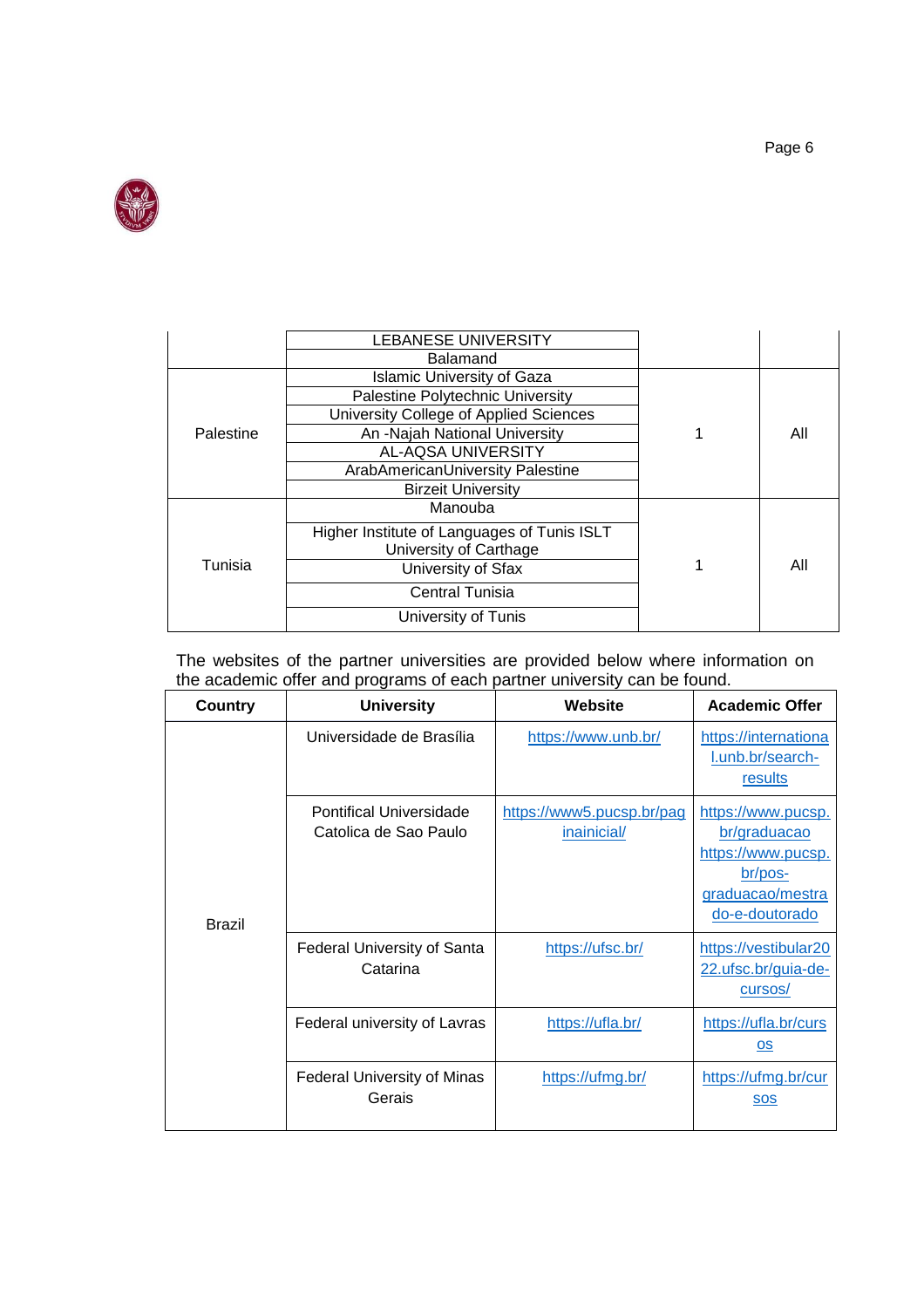

|                                  | <b>LEBANESE UNIVERSITY</b>                                            |  |     |
|----------------------------------|-----------------------------------------------------------------------|--|-----|
|                                  | <b>Balamand</b>                                                       |  |     |
|                                  | <b>Islamic University of Gaza</b>                                     |  |     |
|                                  | Palestine Polytechnic University                                      |  |     |
|                                  | University College of Applied Sciences                                |  |     |
| Palestine                        | An -Najah National University                                         |  | All |
|                                  | AL-AQSA UNIVERSITY                                                    |  |     |
| ArabAmericanUniversity Palestine |                                                                       |  |     |
|                                  | <b>Birzeit University</b>                                             |  |     |
|                                  | Manouba                                                               |  |     |
|                                  | Higher Institute of Languages of Tunis ISLT<br>University of Carthage |  |     |
| Tunisia                          | University of Sfax                                                    |  | All |
|                                  | Central Tunisia                                                       |  |     |
|                                  | University of Tunis                                                   |  |     |

The websites of the partner universities are provided below where information on the academic offer and programs of each partner university can be found.

| <b>Country</b> | <b>University</b>                                | Website                                  | <b>Academic Offer</b>                                                                                     |
|----------------|--------------------------------------------------|------------------------------------------|-----------------------------------------------------------------------------------------------------------|
|                | Universidade de Brasília                         | https://www.unb.br/                      | https://internationa<br>l.unb.br/search-<br>results                                                       |
| <b>Brazil</b>  | Pontifical Universidade<br>Catolica de Sao Paulo | https://www5.pucsp.br/pag<br>inainicial/ | https://www.pucsp.<br>br/graduacao<br>https://www.pucsp.<br>br/pos-<br>graduacao/mestra<br>do-e-doutorado |
|                | <b>Federal University of Santa</b><br>Catarina   | https://ufsc.br/                         | https://vestibular20<br>22.ufsc.br/guia-de-<br>cursos/                                                    |
|                | Federal university of Lavras                     | https://ufla.br/                         | https://ufla.br/curs<br>$\underline{\mathsf{OS}}$                                                         |
|                | <b>Federal University of Minas</b><br>Gerais     | https://ufmg.br/                         | https://ufmg.br/cur<br><b>SOS</b>                                                                         |

Page 6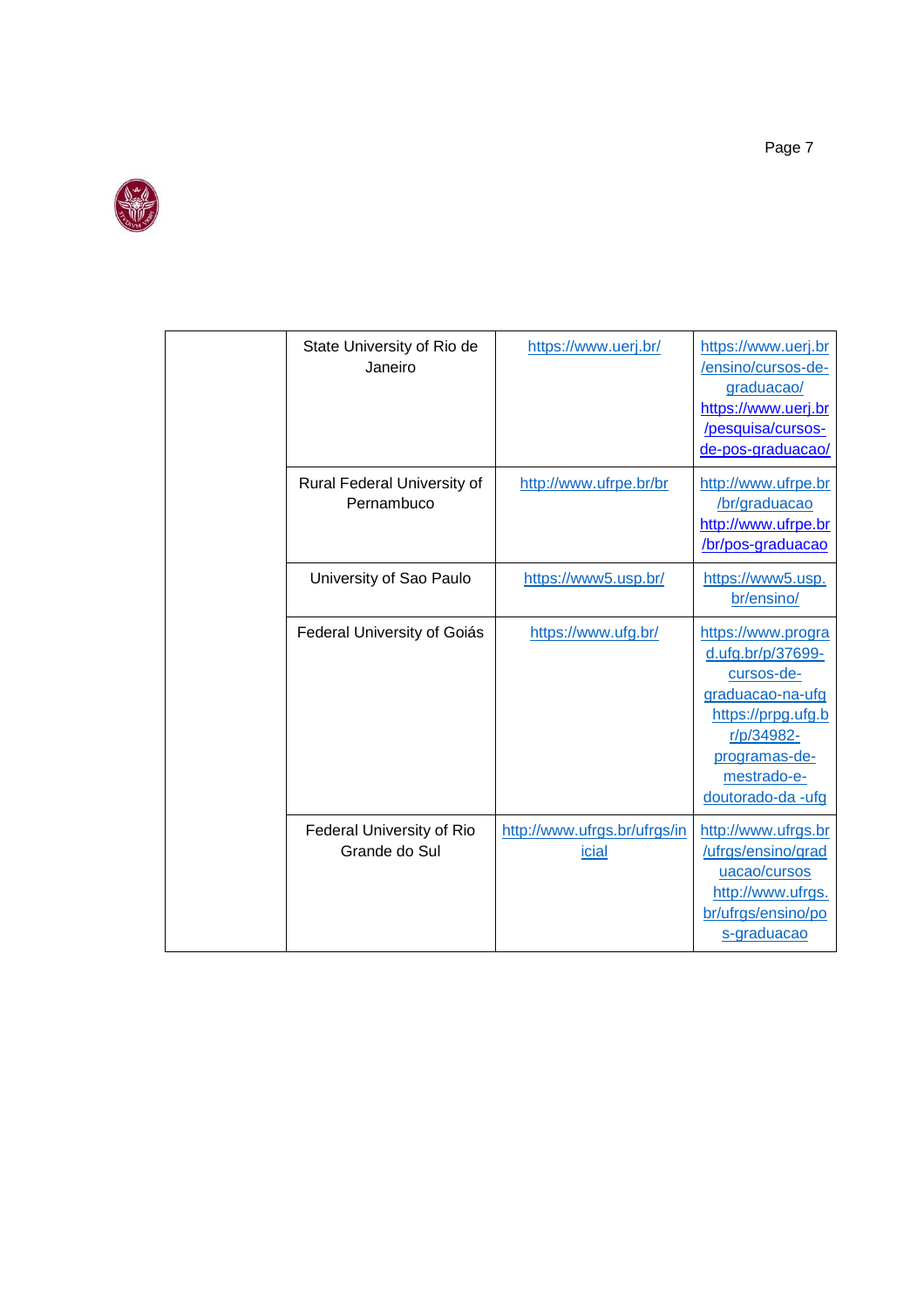

| State University of Rio de<br>Janeiro      | https://www.uerj.br/                         | https://www.uerj.br<br>/ensino/cursos-de-<br>graduacao/<br>https://www.uerj.br<br>/pesquisa/cursos-<br>de-pos-graduacao/                                           |
|--------------------------------------------|----------------------------------------------|--------------------------------------------------------------------------------------------------------------------------------------------------------------------|
| Rural Federal University of<br>Pernambuco  | http://www.ufrpe.br/br                       | http://www.ufrpe.br<br>/br/graduacao<br>http://www.ufrpe.br<br>/br/pos-graduacao                                                                                   |
| University of Sao Paulo                    | https://www5.usp.br/                         | https://www5.usp.<br>br/ensino/                                                                                                                                    |
| Federal University of Goiás                | https://www.ufg.br/                          | https://www.progra<br>d.ufg.br/p/37699-<br>cursos-de-<br>graduacao-na-ufg<br>https://prpg.ufg.b<br>r/p/34982-<br>programas-de-<br>mestrado-e-<br>doutorado-da -ufg |
| Federal University of Rio<br>Grande do Sul | http://www.ufrgs.br/ufrgs/in<br><u>icial</u> | http://www.ufrgs.br<br>/ufrgs/ensino/grad<br>uacao/cursos<br>http://www.ufrgs.<br>br/ufrgs/ensino/po<br>s-graduacao                                                |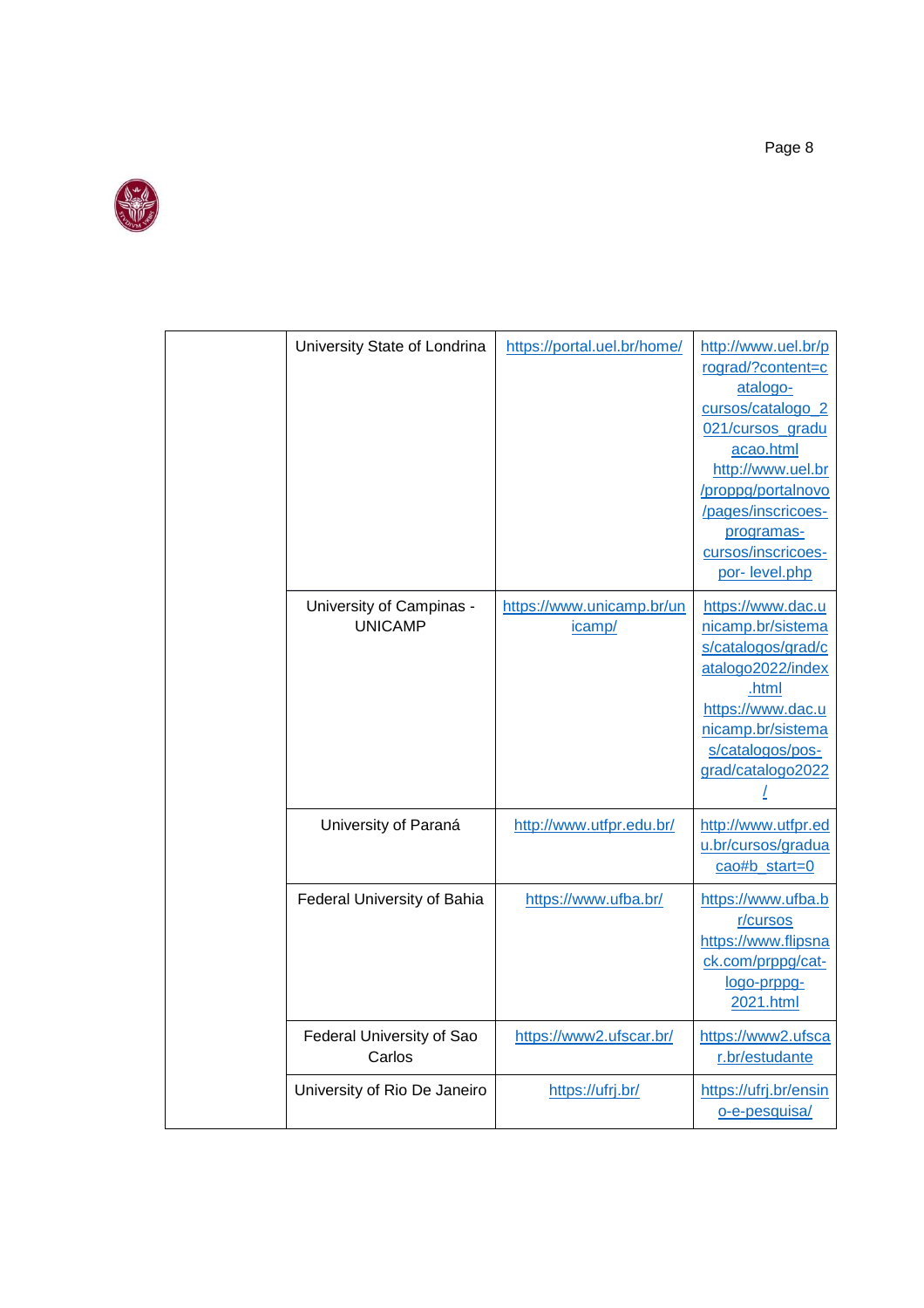

| University State of Londrina               | https://portal.uel.br/home/         | http://www.uel.br/p<br>rograd/?content=c<br>atalogo-<br>cursos/catalogo_2<br>021/cursos_gradu<br>acao.html<br>http://www.uel.br<br>/proppg/portalnovo<br>/pages/inscricoes-<br>programas-<br>cursos/inscricoes-<br>por-level.php |
|--------------------------------------------|-------------------------------------|----------------------------------------------------------------------------------------------------------------------------------------------------------------------------------------------------------------------------------|
| University of Campinas -<br><b>UNICAMP</b> | https://www.unicamp.br/un<br>icamp/ | https://www.dac.u<br>nicamp.br/sistema<br>s/catalogos/grad/c<br>atalogo2022/index<br>.html<br>https://www.dac.u<br>nicamp.br/sistema<br>s/catalogos/pos-<br>grad/catalogo2022                                                    |
| University of Paraná                       | http://www.utfpr.edu.br/            | http://www.utfpr.ed<br>u.br/cursos/gradua<br>cao#b_start=0                                                                                                                                                                       |
| Federal University of Bahia                | https://www.ufba.br/                | https://www.ufba.b<br>r/cursos<br>https://www.flipsna<br>ck.com/prppg/cat-<br>logo-prppg-<br>2021.html                                                                                                                           |
| Federal University of Sao<br>Carlos        | https://www2.ufscar.br/             | https://www2.ufsca<br>r.br/estudante                                                                                                                                                                                             |
| University of Rio De Janeiro               | https://ufrj.br/                    | https://ufrj.br/ensin<br>o-e-pesquisa/                                                                                                                                                                                           |

Page 8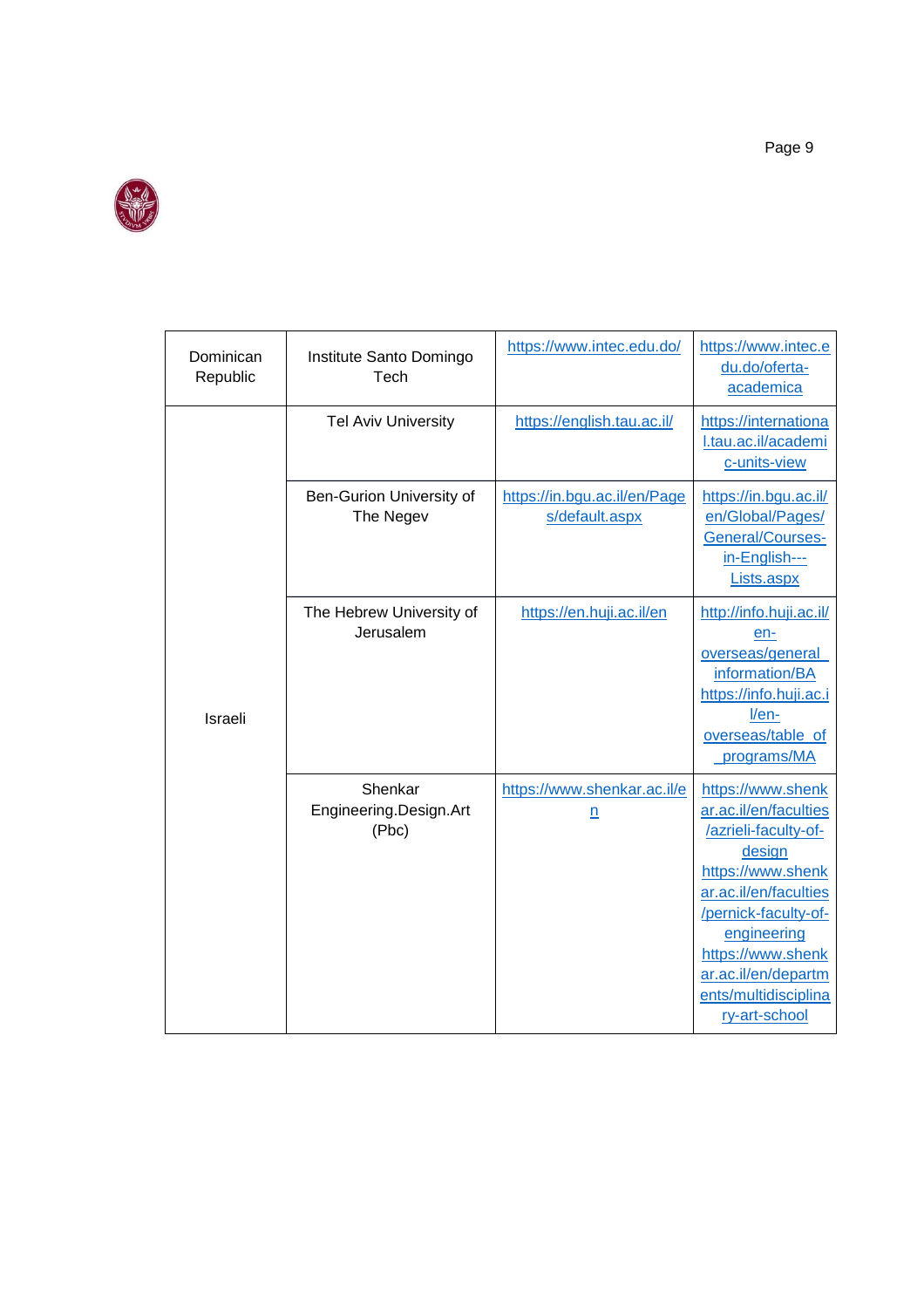

| Dominican<br>Republic | Institute Santo Domingo<br>Tech            | https://www.intec.edu.do/                      | https://www.intec.e<br>du.do/oferta-<br>academica                                                                                                                                                                                                      |
|-----------------------|--------------------------------------------|------------------------------------------------|--------------------------------------------------------------------------------------------------------------------------------------------------------------------------------------------------------------------------------------------------------|
|                       | <b>Tel Aviv University</b>                 | https://english.tau.ac.il/                     | https://internationa<br>I.tau.ac.il/academi<br>c-units-view                                                                                                                                                                                            |
|                       | Ben-Gurion University of<br>The Negev      | https://in.bgu.ac.il/en/Page<br>s/default.aspx | https://in.bgu.ac.il/<br>en/Global/Pages/<br><b>General/Courses-</b><br>in-English---<br>Lists.aspx                                                                                                                                                    |
| Israeli               | The Hebrew University of<br>Jerusalem      | https://en.huji.ac.il/en                       | http://info.huji.ac.il/<br>en-<br>overseas/general<br>information/BA<br>https://info.huji.ac.i<br>$I/en-$<br>overseas/table of<br>programs/MA                                                                                                          |
|                       | Shenkar<br>Engineering.Design.Art<br>(Pbc) | https://www.shenkar.ac.il/e<br>$\underline{n}$ | https://www.shenk<br>ar.ac.il/en/faculties<br>/azrieli-faculty-of-<br>design<br>https://www.shenk<br>ar.ac.il/en/faculties<br>/pernick-faculty-of-<br>engineering<br>https://www.shenk<br>ar.ac.il/en/departm<br>ents/multidisciplina<br>ry-art-school |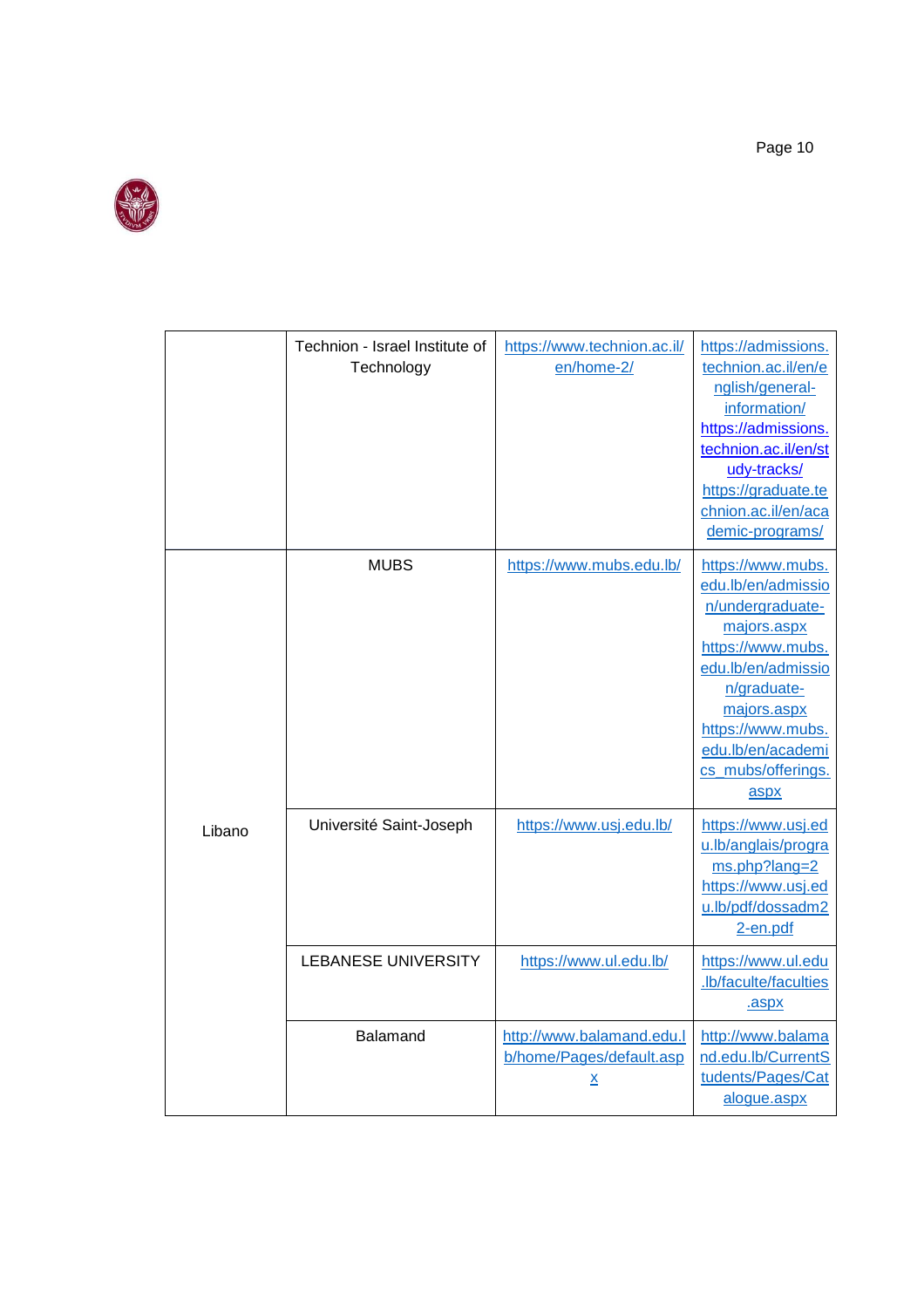

|        | Technion - Israel Institute of<br>Technology | https://www.technion.ac.il/<br>en/home-2/                                | https://admissions.<br>technion.ac.il/en/e<br>nglish/general-<br>information/<br>https://admissions.<br>technion.ac.il/en/st<br>udy-tracks/<br>https://graduate.te<br>chnion.ac.il/en/aca<br>demic-programs/                |
|--------|----------------------------------------------|--------------------------------------------------------------------------|-----------------------------------------------------------------------------------------------------------------------------------------------------------------------------------------------------------------------------|
|        | <b>MUBS</b>                                  | https://www.mubs.edu.lb/                                                 | https://www.mubs.<br>edu.lb/en/admissio<br>n/undergraduate-<br>majors.aspx<br>https://www.mubs.<br>edu.lb/en/admissio<br>n/graduate-<br>majors.aspx<br>https://www.mubs.<br>edu.lb/en/academi<br>cs_mubs/offerings.<br>aspx |
| Libano | Université Saint-Joseph                      | https://www.usj.edu.lb/                                                  | https://www.usj.ed<br>u.lb/anglais/progra<br>ms.php?lang=2<br>https://www.usj.ed<br>u.lb/pdf/dossadm2<br>2-en.pdf                                                                                                           |
|        | <b>LEBANESE UNIVERSITY</b>                   | https://www.ul.edu.lb/                                                   | https://www.ul.edu<br>.lb/faculte/faculties<br>.aspx                                                                                                                                                                        |
|        | Balamand                                     | http://www.balamand.edu.l<br>b/home/Pages/default.asp<br>$\underline{x}$ | http://www.balama<br>nd.edu.lb/CurrentS<br>tudents/Pages/Cat<br>alogue.aspx                                                                                                                                                 |

Page 10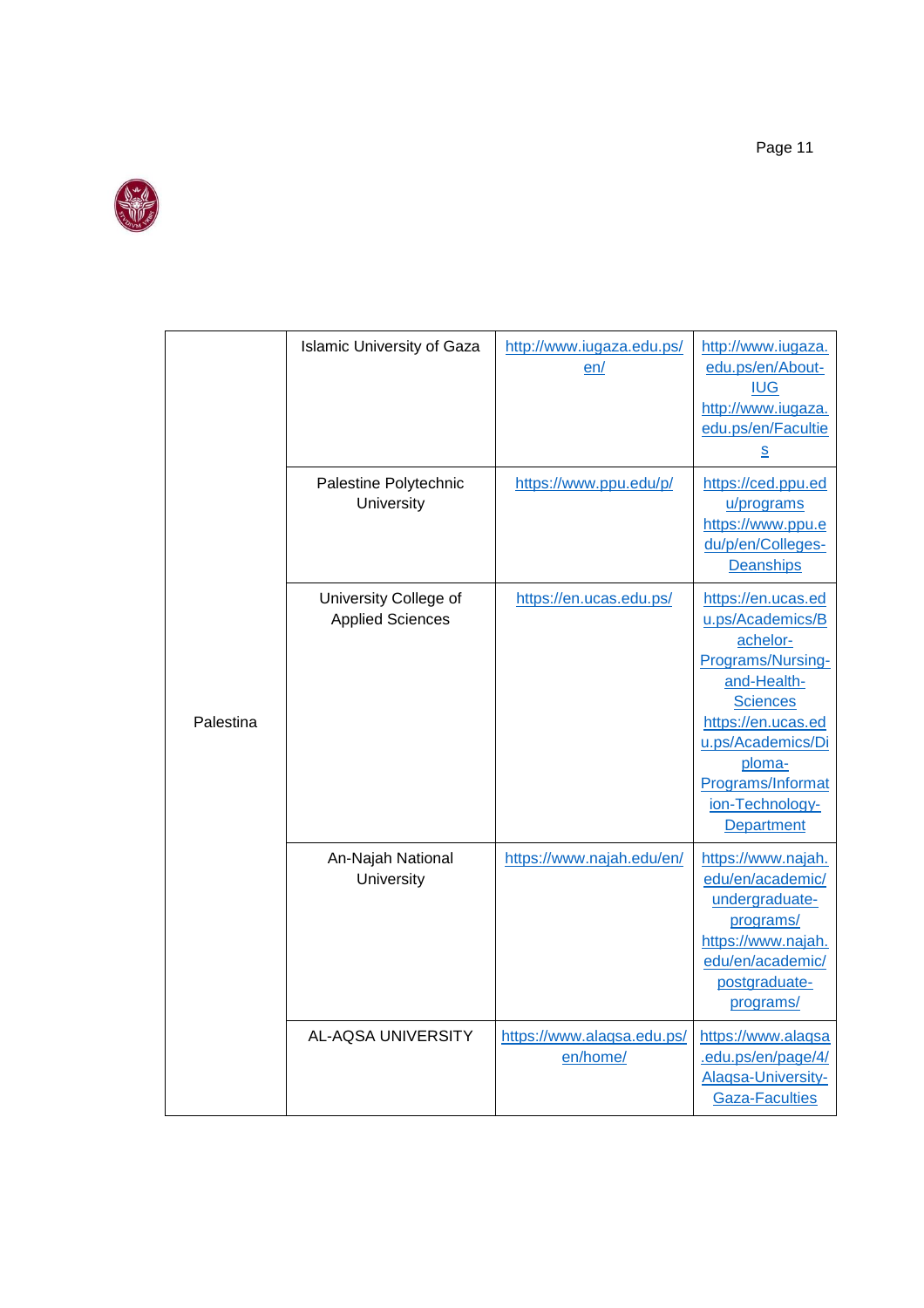

|           | <b>Islamic University of Gaza</b>                | http://www.iugaza.edu.ps/<br>en/       | http://www.iugaza.<br>edu.ps/en/About-<br><b>IUG</b><br>http://www.iugaza.<br>edu.ps/en/Facultie<br><u>s</u>                                                                                                         |
|-----------|--------------------------------------------------|----------------------------------------|----------------------------------------------------------------------------------------------------------------------------------------------------------------------------------------------------------------------|
|           | Palestine Polytechnic<br>University              | https://www.ppu.edu/p/                 | https://ced.ppu.ed<br>u/programs<br>https://www.ppu.e<br>du/p/en/Colleges-<br>Deanships                                                                                                                              |
| Palestina | University College of<br><b>Applied Sciences</b> | https://en.ucas.edu.ps/                | https://en.ucas.ed<br>u.ps/Academics/B<br>achelor-<br>Programs/Nursing-<br>and-Health-<br><b>Sciences</b><br>https://en.ucas.ed<br>u.ps/Academics/Di<br>ploma-<br>Programs/Informat<br>ion-Technology-<br>Department |
|           | An-Najah National<br>University                  | https://www.najah.edu/en/              | https://www.najah.<br>edu/en/academic/<br>undergraduate-<br>programs/<br>https://www.najah.<br>edu/en/academic/<br>postgraduate-<br>programs/                                                                        |
|           | AL-AQSA UNIVERSITY                               | https://www.alaqsa.edu.ps/<br>en/home/ | https://www.alaqsa<br>.edu.ps/en/page/4/<br>Alaqsa-University-<br><b>Gaza-Faculties</b>                                                                                                                              |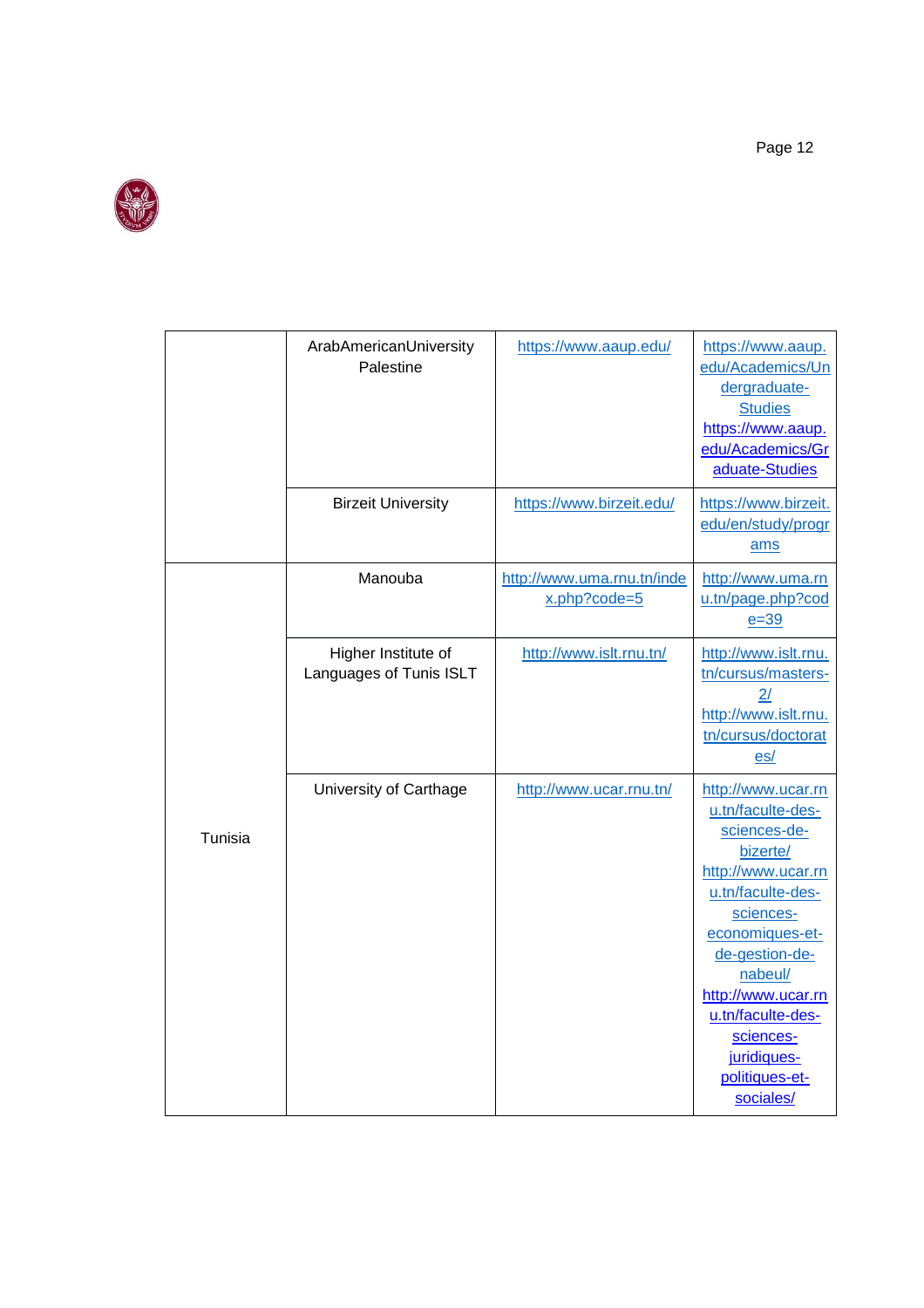

|         | ArabAmericanUniversity<br>Palestine            | https://www.aaup.edu/                         | https://www.aaup.<br>edu/Academics/Un<br>dergraduate-<br><b>Studies</b><br>https://www.aaup.<br>edu/Academics/Gr<br>aduate-Studies                                                                                                                                                |
|---------|------------------------------------------------|-----------------------------------------------|-----------------------------------------------------------------------------------------------------------------------------------------------------------------------------------------------------------------------------------------------------------------------------------|
|         | <b>Birzeit University</b>                      | https://www.birzeit.edu/                      | https://www.birzeit.<br>edu/en/study/progr<br>ams                                                                                                                                                                                                                                 |
|         | Manouba                                        | http://www.uma.rnu.tn/inde<br>$x.$ php?code=5 | http://www.uma.rn<br>u.tn/page.php?cod<br>$e=39$                                                                                                                                                                                                                                  |
|         | Higher Institute of<br>Languages of Tunis ISLT | http://www.islt.rnu.tn/                       | http://www.islt.rnu.<br>tn/cursus/masters-<br>2/<br>http://www.islt.rnu.<br>tn/cursus/doctorat<br>es/                                                                                                                                                                             |
| Tunisia | University of Carthage                         | http://www.ucar.rnu.tn/                       | http://www.ucar.rn<br>u.tn/faculte-des-<br>sciences-de-<br>bizerte/<br>http://www.ucar.rn<br>u.tn/faculte-des-<br>sciences-<br>economiques-et-<br>de-gestion-de-<br>nabeul/<br>http://www.ucar.rn<br>u.tn/faculte-des-<br>sciences-<br>juridiques-<br>politiques-et-<br>sociales/ |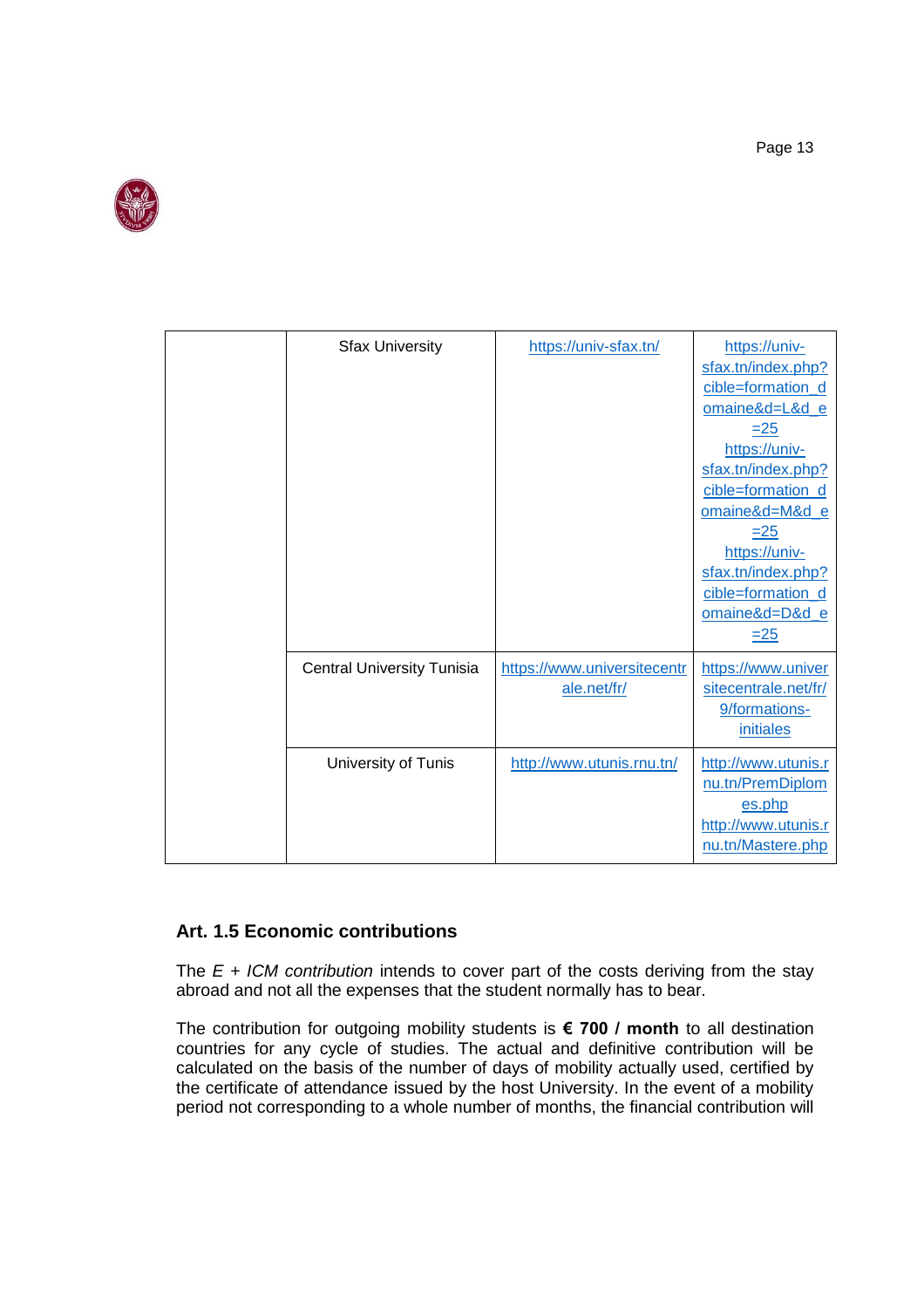

| <b>Sfax University</b>            | https://univ-sfax.tn/                      | https://univ-<br>sfax.tn/index.php?<br>cible=formation_d<br>omaine&d=L&d_e<br>$=25$<br>https://univ-<br>sfax.tn/index.php?<br>cible=formation_d<br>omaine&d=M&d_e<br>$=25$<br>https://univ-<br>sfax.tn/index.php?<br>cible=formation d<br>omaine&d=D&d_e<br>$\equiv 25$ |
|-----------------------------------|--------------------------------------------|-------------------------------------------------------------------------------------------------------------------------------------------------------------------------------------------------------------------------------------------------------------------------|
| <b>Central University Tunisia</b> | https://www.universitecentr<br>ale.net/fr/ | https://www.univer<br>sitecentrale.net/fr/<br>9/formations-<br>initiales                                                                                                                                                                                                |
| University of Tunis               | http://www.utunis.rnu.tn/                  | http://www.utunis.r<br>nu.tn/PremDiplom<br>es.php<br>http://www.utunis.r<br>nu.tn/Mastere.php                                                                                                                                                                           |

# **Art. 1.5 Economic contributions**

The *E + ICM contribution* intends to cover part of the costs deriving from the stay abroad and not all the expenses that the student normally has to bear.

The contribution for outgoing mobility students is **€ 700 / month** to all destination countries for any cycle of studies. The actual and definitive contribution will be calculated on the basis of the number of days of mobility actually used, certified by the certificate of attendance issued by the host University. In the event of a mobility period not corresponding to a whole number of months, the financial contribution will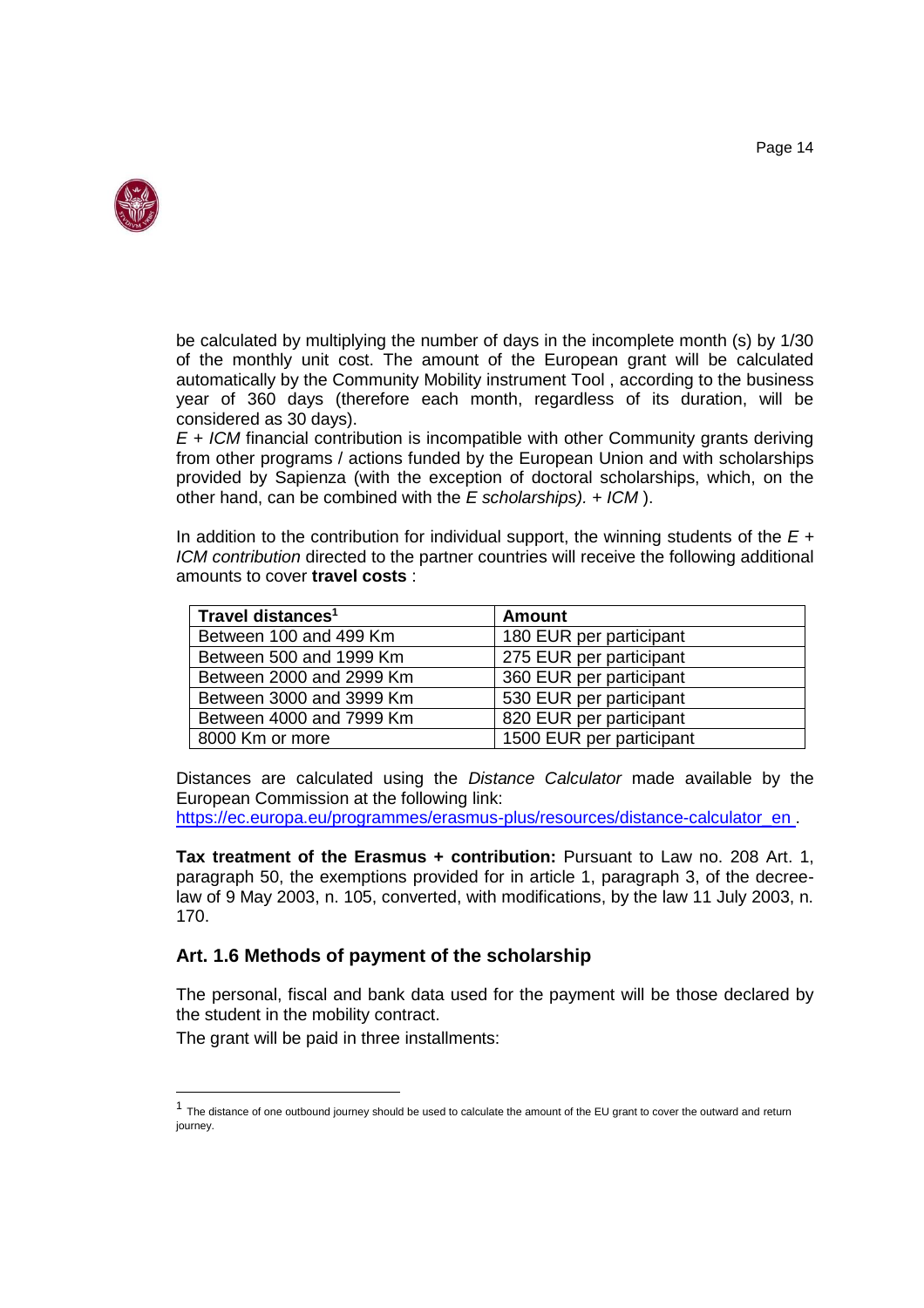

be calculated by multiplying the number of days in the incomplete month (s) by 1/30 of the monthly unit cost. The amount of the European grant will be calculated automatically by the Community Mobility instrument Tool , according to the business year of 360 days (therefore each month, regardless of its duration, will be considered as 30 days).

*E + ICM* financial contribution is incompatible with other Community grants deriving from other programs / actions funded by the European Union and with scholarships provided by Sapienza (with the exception of doctoral scholarships, which, on the other hand, can be combined with the *E scholarships). + ICM* ).

In addition to the contribution for individual support, the winning students of the *E + ICM contribution* directed to the partner countries will receive the following additional amounts to cover **travel costs** :

| Travel distances <sup>1</sup> | <b>Amount</b>            |
|-------------------------------|--------------------------|
| Between 100 and 499 Km        | 180 EUR per participant  |
| Between 500 and 1999 Km       | 275 EUR per participant  |
| Between 2000 and 2999 Km      | 360 EUR per participant  |
| Between 3000 and 3999 Km      | 530 EUR per participant  |
| Between 4000 and 7999 Km      | 820 EUR per participant  |
| 8000 Km or more               | 1500 EUR per participant |

Distances are calculated using the *Distance Calculator* made available by the European Commission at the following link: [https://ec.europa.eu/programmes/erasmus-plus/resources/distance-calculator\\_en .](https://ec.europa.eu/programmes/erasmus-plus/resources/distance-calculator_en)

**Tax treatment of the Erasmus + contribution:** Pursuant to Law no. 208 Art. 1, paragraph 50, the exemptions provided for in article 1, paragraph 3, of the decreelaw of 9 May 2003, n. 105, converted, with modifications, by the law 11 July 2003, n. 170.

# **Art. 1.6 Methods of payment of the scholarship**

The personal, fiscal and bank data used for the payment will be those declared by the student in the mobility contract.

The grant will be paid in three installments:

<sup>&</sup>lt;sup>1</sup> The distance of one outbound journey should be used to calculate the amount of the EU grant to cover the outward and return iourney.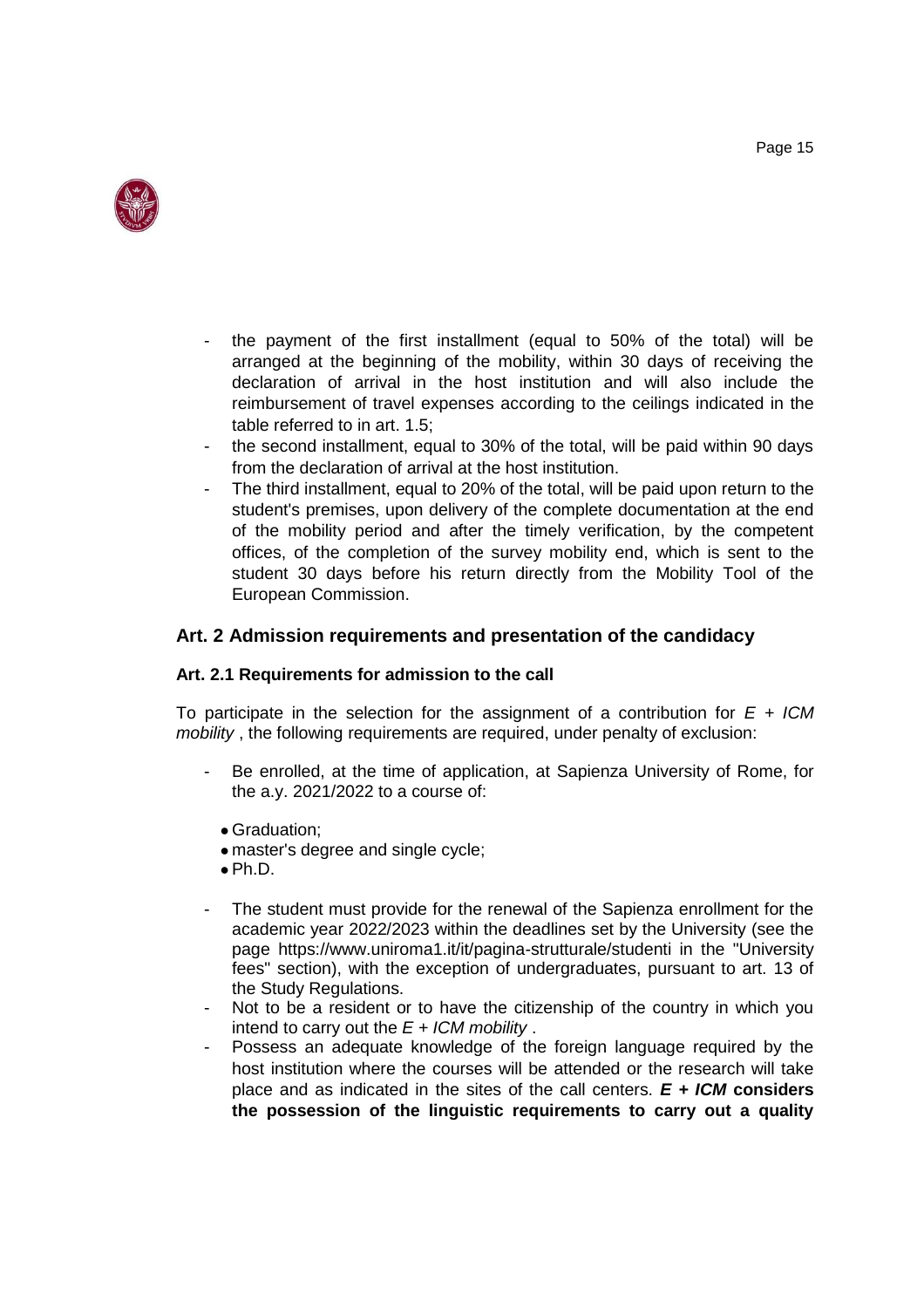

- the payment of the first installment (equal to 50% of the total) will be arranged at the beginning of the mobility, within 30 days of receiving the declaration of arrival in the host institution and will also include the reimbursement of travel expenses according to the ceilings indicated in the table referred to in art. 1.5;
- the second installment, equal to 30% of the total, will be paid within 90 days from the declaration of arrival at the host institution.
- The third installment, equal to 20% of the total, will be paid upon return to the student's premises, upon delivery of the complete documentation at the end of the mobility period and after the timely verification, by the competent offices, of the completion of the survey mobility end, which is sent to the student 30 days before his return directly from the Mobility Tool of the European Commission.

# **Art. 2 Admission requirements and presentation of the candidacy**

#### **Art. 2.1 Requirements for admission to the call**

To participate in the selection for the assignment of a contribution for  $E + ICM$ *mobility* , the following requirements are required, under penalty of exclusion:

- Be enrolled, at the time of application, at Sapienza University of Rome, for the a.y. 2021/2022 to a course of:
	- Graduation;
	- master's degree and single cycle;
	- $\bullet$  Ph.D.
- The student must provide for the renewal of the Sapienza enrollment for the academic year 2022/2023 within the deadlines set by the University (see the page https://www.uniroma1.it/it/pagina-strutturale/studenti in the "University fees" section), with the exception of undergraduates, pursuant to art. 13 of the Study Regulations.
- Not to be a resident or to have the citizenship of the country in which you intend to carry out the *E + ICM mobility* .
- Possess an adequate knowledge of the foreign language required by the host institution where the courses will be attended or the research will take place and as indicated in the sites of the call centers. *E + ICM* **considers the possession of the linguistic requirements to carry out a quality**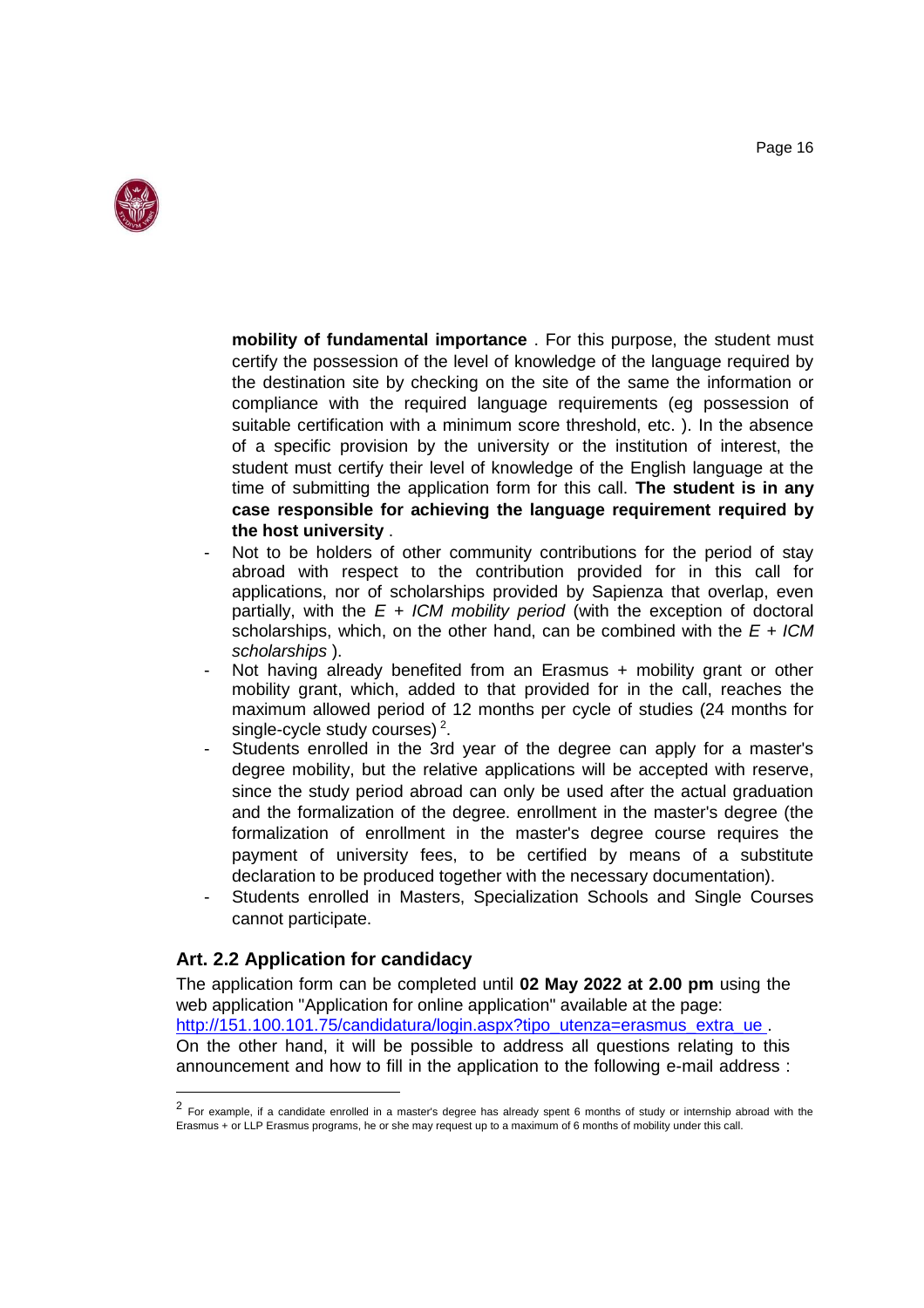

**mobility of fundamental importance** . For this purpose, the student must certify the possession of the level of knowledge of the language required by the destination site by checking on the site of the same the information or compliance with the required language requirements (eg possession of suitable certification with a minimum score threshold, etc. ). In the absence of a specific provision by the university or the institution of interest, the student must certify their level of knowledge of the English language at the time of submitting the application form for this call. **The student is in any case responsible for achieving the language requirement required by the host university** .

- Not to be holders of other community contributions for the period of stay abroad with respect to the contribution provided for in this call for applications, nor of scholarships provided by Sapienza that overlap, even partially, with the *E + ICM mobility period* (with the exception of doctoral scholarships, which, on the other hand, can be combined with the *E + ICM scholarships* ).
- Not having already benefited from an Erasmus + mobility grant or other mobility grant, which, added to that provided for in the call, reaches the maximum allowed period of 12 months per cycle of studies (24 months for single-cycle study courses)<sup>2</sup>.
- Students enrolled in the 3rd year of the degree can apply for a master's degree mobility, but the relative applications will be accepted with reserve, since the study period abroad can only be used after the actual graduation and the formalization of the degree. enrollment in the master's degree (the formalization of enrollment in the master's degree course requires the payment of university fees, to be certified by means of a substitute declaration to be produced together with the necessary documentation).
- Students enrolled in Masters, Specialization Schools and Single Courses cannot participate.

# **Art. 2.2 Application for candidacy**

The application form can be completed until **02 May 2022 at 2.00 pm** using the web application "Application for online application" available at the page: http://151.100.101.75/candidatura/login.aspx?tipo\_utenza=erasmus\_extra\_ue. On the other hand, it will be possible to address all questions relating to this announcement and how to fill in the application to the following e-mail address :

<sup>&</sup>lt;sup>2</sup> For example, if a candidate enrolled in a master's degree has already spent 6 months of study or internship abroad with the Erasmus + or LLP Erasmus programs, he or she may request up to a maximum of 6 months of mobility under this call.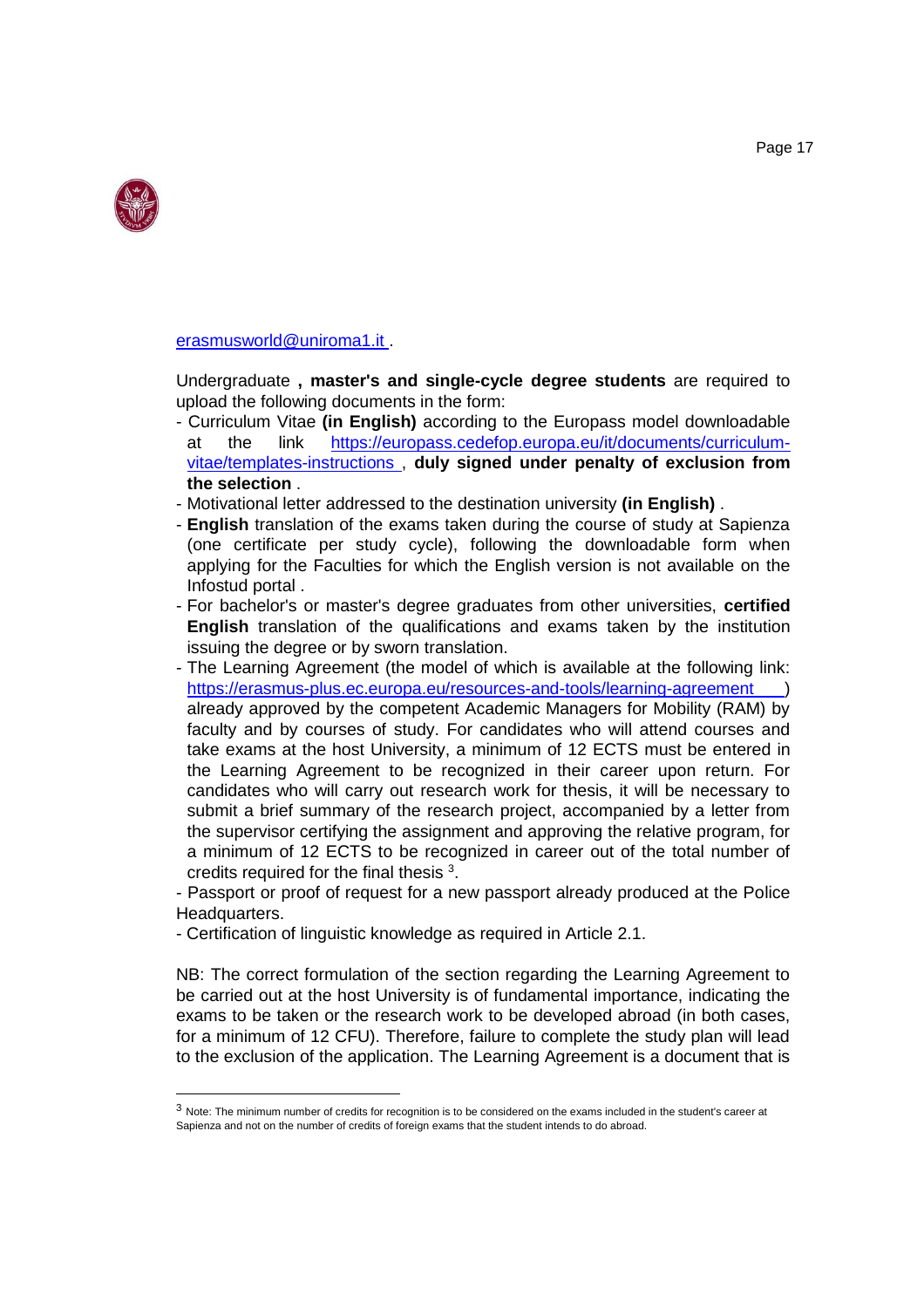

[erasmusworld@uniroma1.it .](mailto:erasmusworld@uniroma1.it)

Undergraduate **, master's and single-cycle degree students** are required to upload the following documents in the form:

- Curriculum Vitae **(in English)** according to the Europass model downloadable at the link [https://europass.cedefop.europa.eu/it/documents/curriculum](https://europass.cedefop.europa.eu/it/documents/curriculum-vitae/templates-instructions)[vitae/templates-instructions ,](https://europass.cedefop.europa.eu/it/documents/curriculum-vitae/templates-instructions) **duly signed under penalty of exclusion from the selection** .
- Motivational letter addressed to the destination university **(in English)** .
- **English** translation of the exams taken during the course of study at Sapienza (one certificate per study cycle), following the downloadable form when applying for the Faculties for which the English version is not available on the Infostud portal .
- For bachelor's or master's degree graduates from other universities, **certified English** translation of the qualifications and exams taken by the institution issuing the degree or by sworn translation.
- The Learning Agreement (the model of which is available at the following link: [https://erasmus-plus.ec.europa.eu/resources-and-tools/learning-agreement \)](https://erasmus-plus.ec.europa.eu/resources-and-tools/learning-agreement) already approved by the competent Academic Managers for Mobility (RAM) by faculty and by courses of study. For candidates who will attend courses and take exams at the host University, a minimum of 12 ECTS must be entered in the Learning Agreement to be recognized in their career upon return. For candidates who will carry out research work for thesis, it will be necessary to submit a brief summary of the research project, accompanied by a letter from the supervisor certifying the assignment and approving the relative program, for a minimum of 12 ECTS to be recognized in career out of the total number of credits required for the final thesis  $3$ .

- Passport or proof of request for a new passport already produced at the Police Headquarters.

- Certification of linguistic knowledge as required in Article 2.1.

NB: The correct formulation of the section regarding the Learning Agreement to be carried out at the host University is of fundamental importance, indicating the exams to be taken or the research work to be developed abroad (in both cases, for a minimum of 12 CFU). Therefore, failure to complete the study plan will lead to the exclusion of the application. The Learning Agreement is a document that is

 $3$  Note: The minimum number of credits for recognition is to be considered on the exams included in the student's career at Sapienza and not on the number of credits of foreign exams that the student intends to do abroad.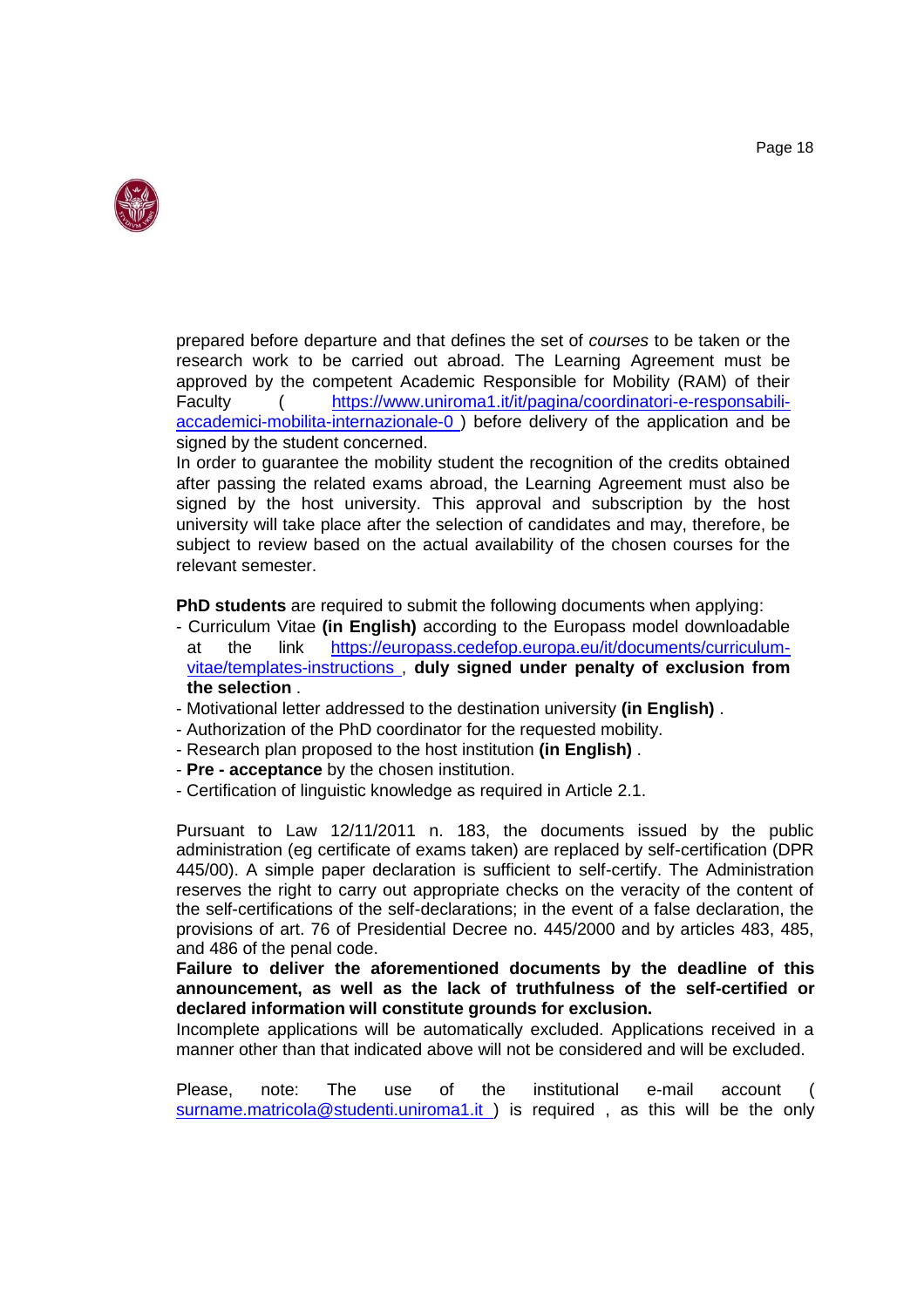

prepared before departure and that defines the set of *courses* to be taken or the research work to be carried out abroad. The Learning Agreement must be approved by the competent Academic Responsible for Mobility (RAM) of their Faculty ( [https://www.uniroma1.it/it/pagina/coordinatori-e-responsabili](https://www.uniroma1.it/it/pagina/coordinatori-e-responsabili-accademici-mobilita-internazionale-0)[accademici-mobilita-internazionale-0 \)](https://www.uniroma1.it/it/pagina/coordinatori-e-responsabili-accademici-mobilita-internazionale-0) before delivery of the application and be signed by the student concerned.

In order to guarantee the mobility student the recognition of the credits obtained after passing the related exams abroad, the Learning Agreement must also be signed by the host university. This approval and subscription by the host university will take place after the selection of candidates and may, therefore, be subject to review based on the actual availability of the chosen courses for the relevant semester.

**PhD students** are required to submit the following documents when applying:

- Curriculum Vitae **(in English)** according to the Europass model downloadable at the link [https://europass.cedefop.europa.eu/it/documents/curriculum](https://europass.cedefop.europa.eu/it/documents/curriculum-vitae/templates-instructions)[vitae/templates-instructions ,](https://europass.cedefop.europa.eu/it/documents/curriculum-vitae/templates-instructions) **duly signed under penalty of exclusion from the selection** .
- Motivational letter addressed to the destination university **(in English)** .
- Authorization of the PhD coordinator for the requested mobility.
- Research plan proposed to the host institution **(in English)** .
- **Pre - acceptance** by the chosen institution.
- Certification of linguistic knowledge as required in Article 2.1.

Pursuant to Law 12/11/2011 n. 183, the documents issued by the public administration (eg certificate of exams taken) are replaced by self-certification (DPR 445/00). A simple paper declaration is sufficient to self-certify. The Administration reserves the right to carry out appropriate checks on the veracity of the content of the self-certifications of the self-declarations; in the event of a false declaration, the provisions of art. 76 of Presidential Decree no. 445/2000 and by articles 483, 485, and 486 of the penal code.

**Failure to deliver the aforementioned documents by the deadline of this announcement, as well as the lack of truthfulness of the self-certified or declared information will constitute grounds for exclusion.**

Incomplete applications will be automatically excluded. Applications received in a manner other than that indicated above will not be considered and will be excluded.

Please, note: The use of the institutional e-mail account surname.matricola@studenti.uniroma1.it) is required, as this will be the only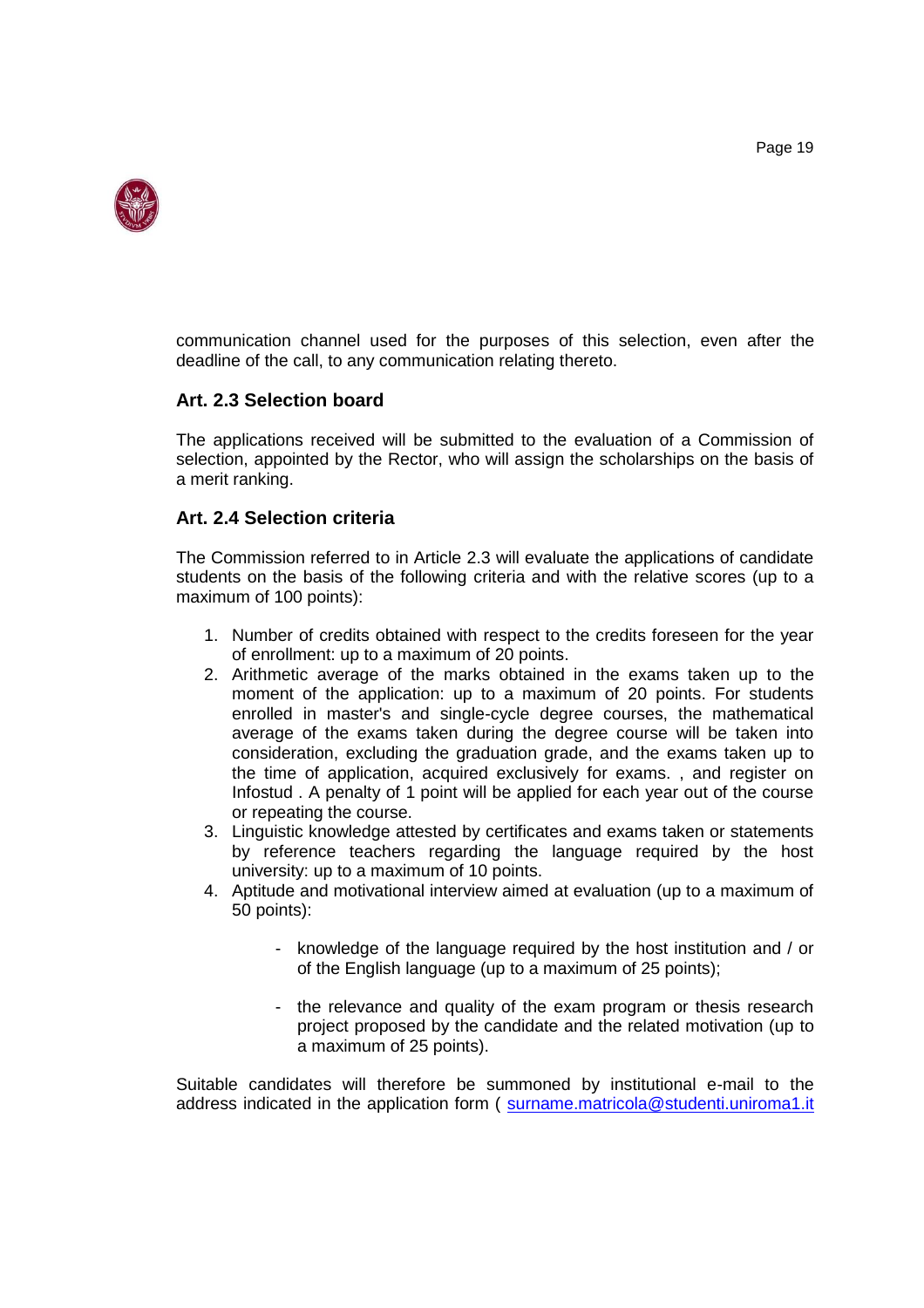

communication channel used for the purposes of this selection, even after the deadline of the call, to any communication relating thereto.

# **Art. 2.3 Selection board**

The applications received will be submitted to the evaluation of a Commission of selection, appointed by the Rector, who will assign the scholarships on the basis of a merit ranking.

# **Art. 2.4 Selection criteria**

The Commission referred to in Article 2.3 will evaluate the applications of candidate students on the basis of the following criteria and with the relative scores (up to a maximum of 100 points):

- 1. Number of credits obtained with respect to the credits foreseen for the year of enrollment: up to a maximum of 20 points.
- 2. Arithmetic average of the marks obtained in the exams taken up to the moment of the application: up to a maximum of 20 points. For students enrolled in master's and single-cycle degree courses, the mathematical average of the exams taken during the degree course will be taken into consideration, excluding the graduation grade, and the exams taken up to the time of application, acquired exclusively for exams. , and register on Infostud . A penalty of 1 point will be applied for each year out of the course or repeating the course.
- 3. Linguistic knowledge attested by certificates and exams taken or statements by reference teachers regarding the language required by the host university: up to a maximum of 10 points.
- 4. Aptitude and motivational interview aimed at evaluation (up to a maximum of 50 points):
	- knowledge of the language required by the host institution and / or of the English language (up to a maximum of 25 points);
	- the relevance and quality of the exam program or thesis research project proposed by the candidate and the related motivation (up to a maximum of 25 points).

Suitable candidates will therefore be summoned by institutional e-mail to the address indicated in the application form ( [surname.matricola@studenti.uniroma1.it](mailto:cognome.matricola@studenti.uniroma1.it)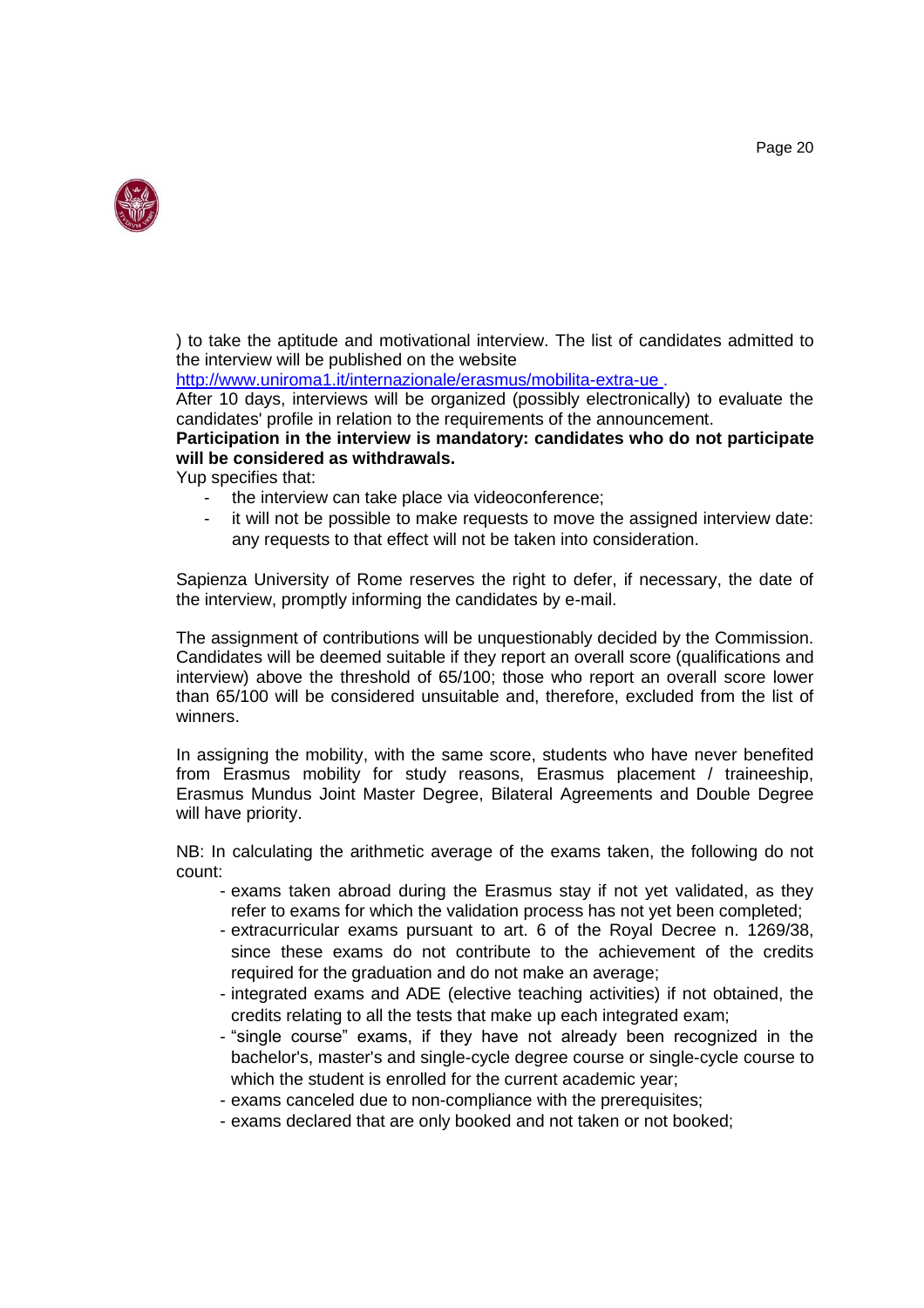

) to take the aptitude and motivational interview. The list of candidates admitted to the interview will be published on the website

[http://www.uniroma1.it/internazionale/erasmus/mobilita-extra-ue .](http://www.uniroma1.it/internazionale/erasmus/mobilita-extra-ue)

After 10 days, interviews will be organized (possibly electronically) to evaluate the candidates' profile in relation to the requirements of the announcement.

#### **Participation in the interview is mandatory: candidates who do not participate will be considered as withdrawals.**

Yup specifies that:

- the interview can take place via videoconference;
- it will not be possible to make requests to move the assigned interview date: any requests to that effect will not be taken into consideration.

Sapienza University of Rome reserves the right to defer, if necessary, the date of the interview, promptly informing the candidates by e-mail.

The assignment of contributions will be unquestionably decided by the Commission. Candidates will be deemed suitable if they report an overall score (qualifications and interview) above the threshold of 65/100; those who report an overall score lower than 65/100 will be considered unsuitable and, therefore, excluded from the list of winners.

In assigning the mobility, with the same score, students who have never benefited from Erasmus mobility for study reasons, Erasmus placement / traineeship, Erasmus Mundus Joint Master Degree, Bilateral Agreements and Double Degree will have priority.

NB: In calculating the arithmetic average of the exams taken, the following do not count:

- exams taken abroad during the Erasmus stay if not yet validated, as they refer to exams for which the validation process has not yet been completed;
- extracurricular exams pursuant to art. 6 of the Royal Decree n. 1269/38, since these exams do not contribute to the achievement of the credits required for the graduation and do not make an average;
- integrated exams and ADE (elective teaching activities) if not obtained, the credits relating to all the tests that make up each integrated exam;
- "single course" exams, if they have not already been recognized in the bachelor's, master's and single-cycle degree course or single-cycle course to which the student is enrolled for the current academic year;
- exams canceled due to non-compliance with the prerequisites;
- exams declared that are only booked and not taken or not booked;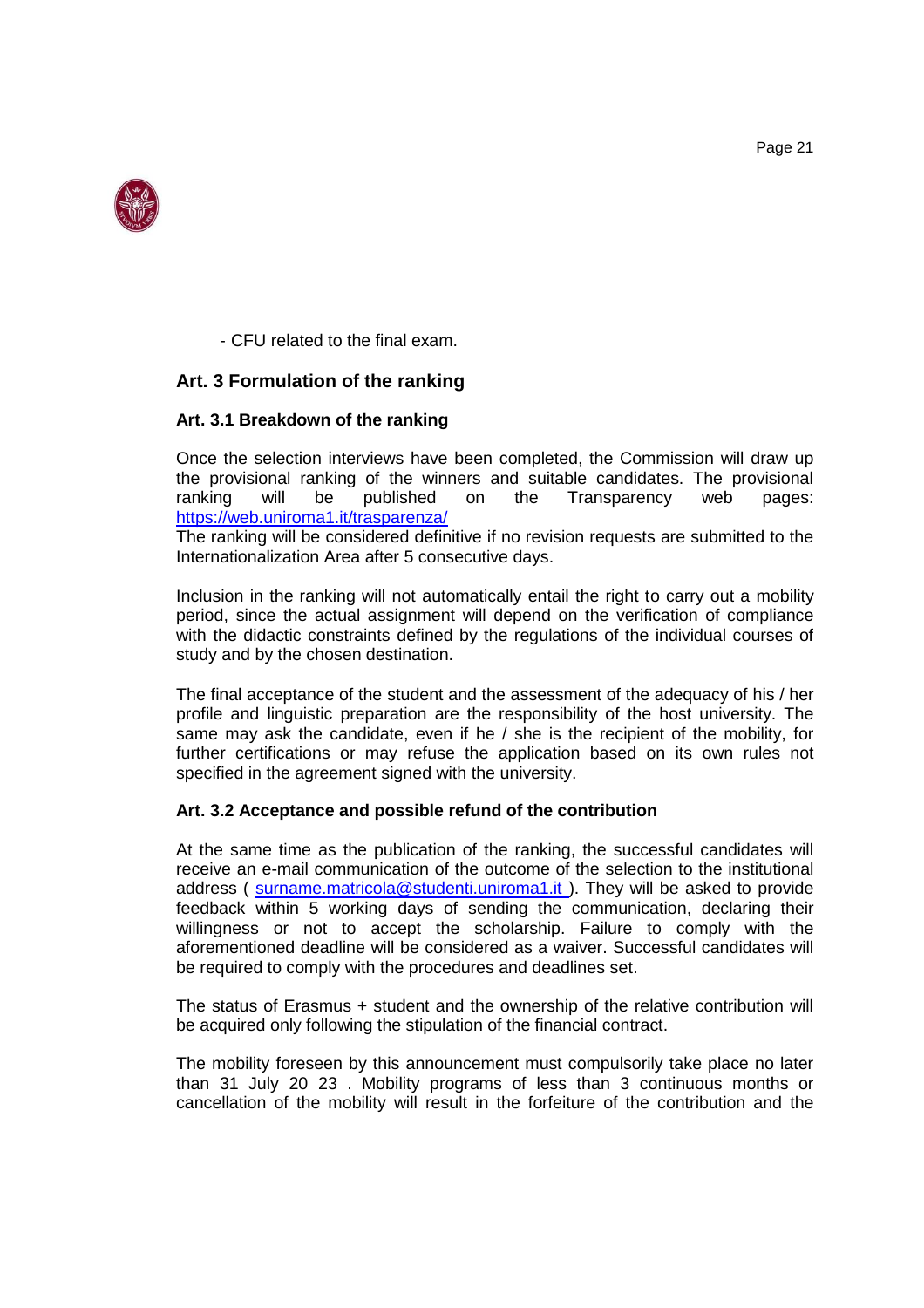

- CFU related to the final exam.

# **Art. 3 Formulation of the ranking**

#### **Art. 3.1 Breakdown of the ranking**

Once the selection interviews have been completed, the Commission will draw up the provisional ranking of the winners and suitable candidates. The provisional ranking will be published on the Transparency web pages: ranking will be published on the Transparency web pages: <https://web.uniroma1.it/trasparenza/>

The ranking will be considered definitive if no revision requests are submitted to the Internationalization Area after 5 consecutive days.

Inclusion in the ranking will not automatically entail the right to carry out a mobility period, since the actual assignment will depend on the verification of compliance with the didactic constraints defined by the regulations of the individual courses of study and by the chosen destination.

The final acceptance of the student and the assessment of the adequacy of his / her profile and linguistic preparation are the responsibility of the host university. The same may ask the candidate, even if he / she is the recipient of the mobility, for further certifications or may refuse the application based on its own rules not specified in the agreement signed with the university.

#### **Art. 3.2 Acceptance and possible refund of the contribution**

At the same time as the publication of the ranking, the successful candidates will receive an e-mail communication of the outcome of the selection to the institutional address ( surname.matricola@studenti.uniroma1.it). They will be asked to provide feedback within 5 working days of sending the communication, declaring their willingness or not to accept the scholarship. Failure to comply with the aforementioned deadline will be considered as a waiver. Successful candidates will be required to comply with the procedures and deadlines set.

The status of Erasmus + student and the ownership of the relative contribution will be acquired only following the stipulation of the financial contract.

The mobility foreseen by this announcement must compulsorily take place no later than 31 July 20 23 . Mobility programs of less than 3 continuous months or cancellation of the mobility will result in the forfeiture of the contribution and the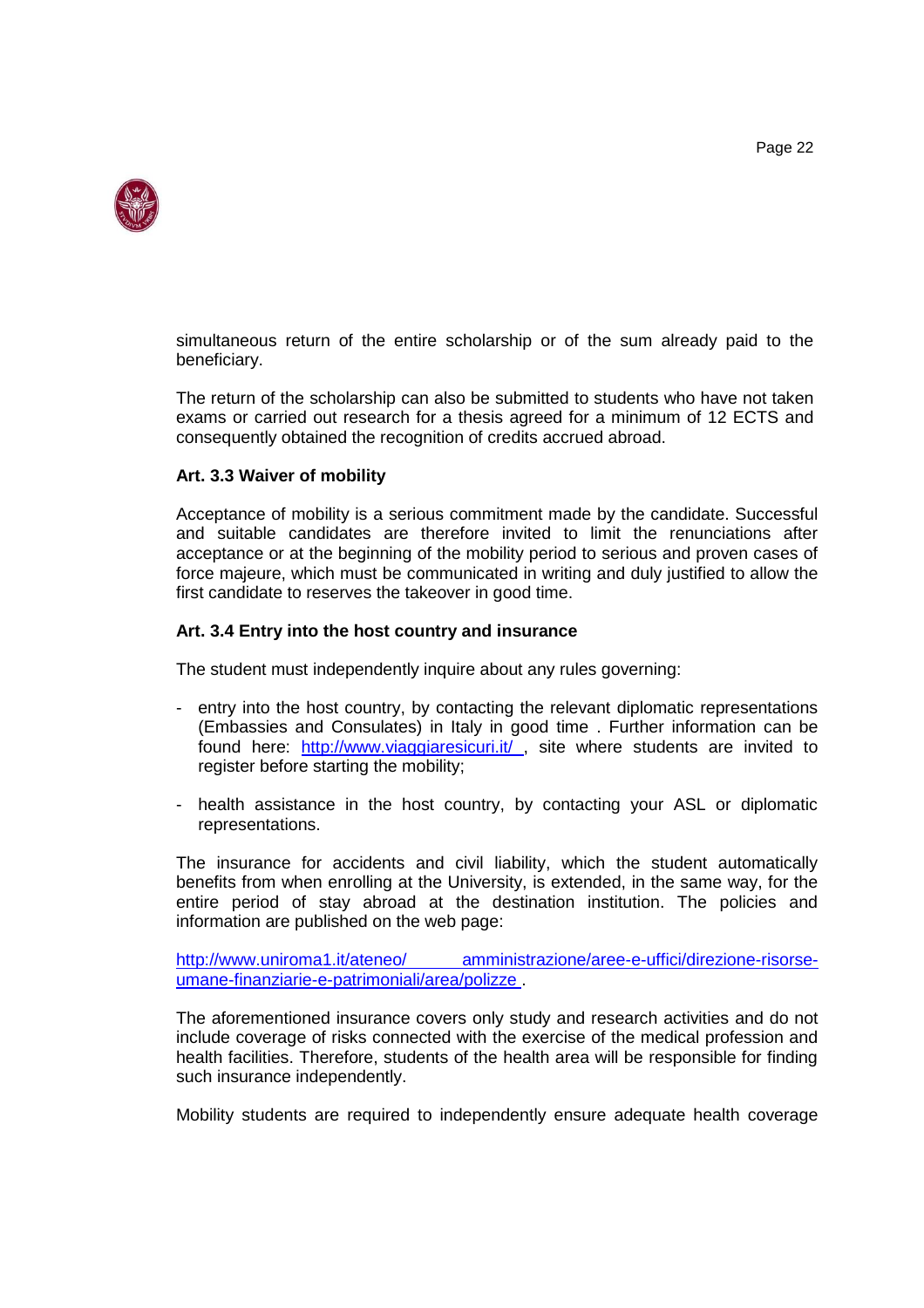



simultaneous return of the entire scholarship or of the sum already paid to the beneficiary.

The return of the scholarship can also be submitted to students who have not taken exams or carried out research for a thesis agreed for a minimum of 12 ECTS and consequently obtained the recognition of credits accrued abroad.

#### **Art. 3.3 Waiver of mobility**

Acceptance of mobility is a serious commitment made by the candidate. Successful and suitable candidates are therefore invited to limit the renunciations after acceptance or at the beginning of the mobility period to serious and proven cases of force majeure, which must be communicated in writing and duly justified to allow the first candidate to reserves the takeover in good time.

#### **Art. 3.4 Entry into the host country and insurance**

The student must independently inquire about any rules governing:

- entry into the host country, by contacting the relevant diplomatic representations (Embassies and Consulates) in Italy in good time . Further information can be found here: http://www.viaggiaresicuri.it/, site where students are invited to register before starting the mobility;
- health assistance in the host country, by contacting your ASL or diplomatic representations.

The insurance for accidents and civil liability, which the student automatically benefits from when enrolling at the University, is extended, in the same way, for the entire period of stay abroad at the destination institution. The policies and information are published on the web page:

[http://www.uniroma1.it/ateneo/ amministrazione/aree-e-uffici/direzione-risorse](http://www.uniroma1.it/ateneo/amministrazione/aree-e-uffici/direzione-risorse-umane-finanziarie-e-patrimoniali/area/polizze)[umane-finanziarie-e-patrimoniali/area/polizze .](http://www.uniroma1.it/ateneo/amministrazione/aree-e-uffici/direzione-risorse-umane-finanziarie-e-patrimoniali/area/polizze)

The aforementioned insurance covers only study and research activities and do not include coverage of risks connected with the exercise of the medical profession and health facilities. Therefore, students of the health area will be responsible for finding such insurance independently.

Mobility students are required to independently ensure adequate health coverage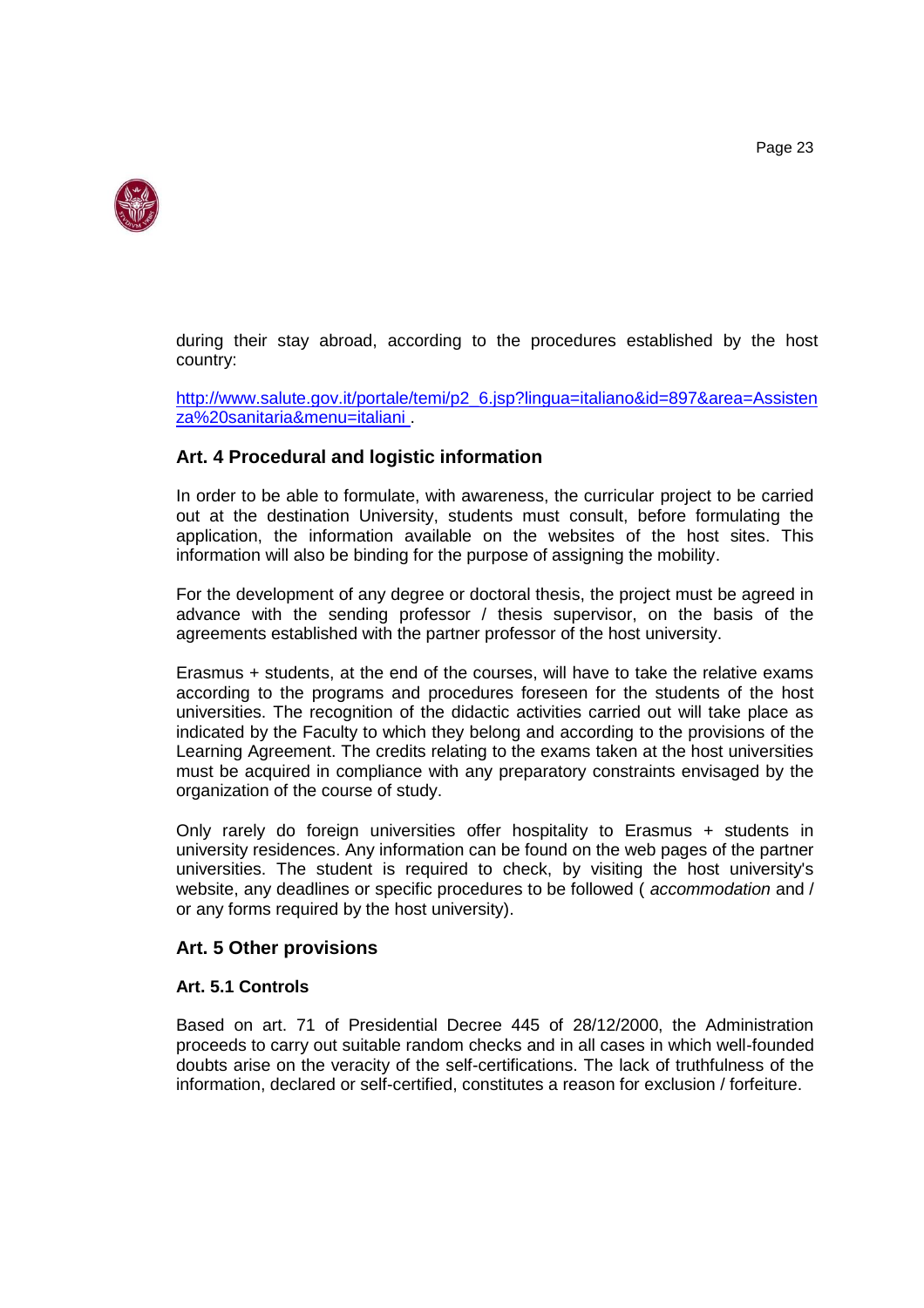

during their stay abroad, according to the procedures established by the host country:

[http://www.salute.gov.it/portale/temi/p2\\_6.jsp?lingua=italiano&id=897&area=Assisten](http://www.salute.gov.it/portale/temi/p2_6.jsp?lingua=italiano&id=897&area=Assistenza%20sanitaria&menu=italiani) [za%20sanitaria&menu=italiani .](http://www.salute.gov.it/portale/temi/p2_6.jsp?lingua=italiano&id=897&area=Assistenza%20sanitaria&menu=italiani)

#### **Art. 4 Procedural and logistic information**

In order to be able to formulate, with awareness, the curricular project to be carried out at the destination University, students must consult, before formulating the application, the information available on the websites of the host sites. This information will also be binding for the purpose of assigning the mobility.

For the development of any degree or doctoral thesis, the project must be agreed in advance with the sending professor / thesis supervisor, on the basis of the agreements established with the partner professor of the host university.

Erasmus + students, at the end of the courses, will have to take the relative exams according to the programs and procedures foreseen for the students of the host universities. The recognition of the didactic activities carried out will take place as indicated by the Faculty to which they belong and according to the provisions of the Learning Agreement. The credits relating to the exams taken at the host universities must be acquired in compliance with any preparatory constraints envisaged by the organization of the course of study.

Only rarely do foreign universities offer hospitality to Erasmus + students in university residences. Any information can be found on the web pages of the partner universities. The student is required to check, by visiting the host university's website, any deadlines or specific procedures to be followed ( *accommodation* and / or any forms required by the host university).

# **Art. 5 Other provisions**

#### **Art. 5.1 Controls**

Based on art. 71 of Presidential Decree 445 of 28/12/2000, the Administration proceeds to carry out suitable random checks and in all cases in which well-founded doubts arise on the veracity of the self-certifications. The lack of truthfulness of the information, declared or self-certified, constitutes a reason for exclusion / forfeiture.